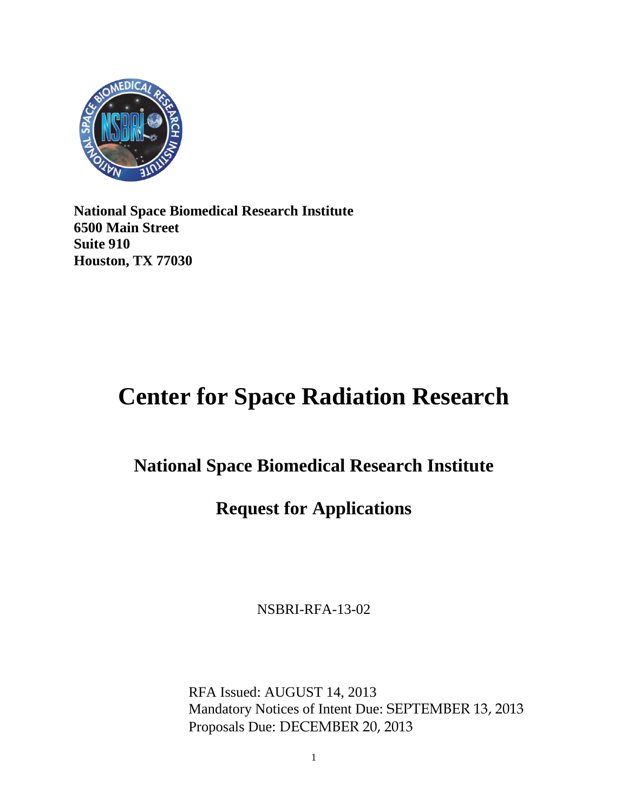

**National Space Biomedical Research Institute 6500 Main Street Suite 910 Houston, TX 77030**

# **Center for Space Radiation Research**

## **National Space Biomedical Research Institute**

## **Request for Applications**

NSBRI-RFA-13-02

RFA Issued: AUGUST 14, 2013 Mandatory Notices of Intent Due: SEPTEMBER 13, 2013 Proposals Due: DECEMBER 20, 2013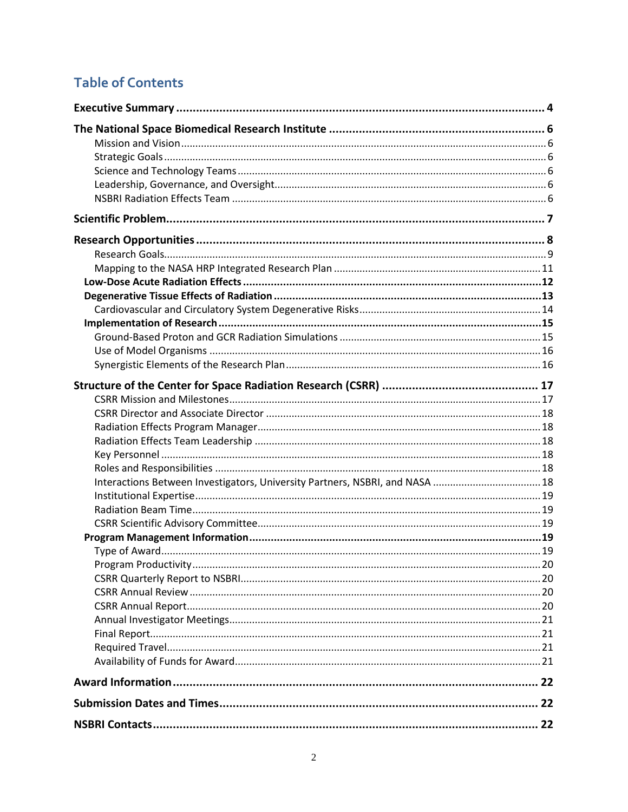## **Table of Contents**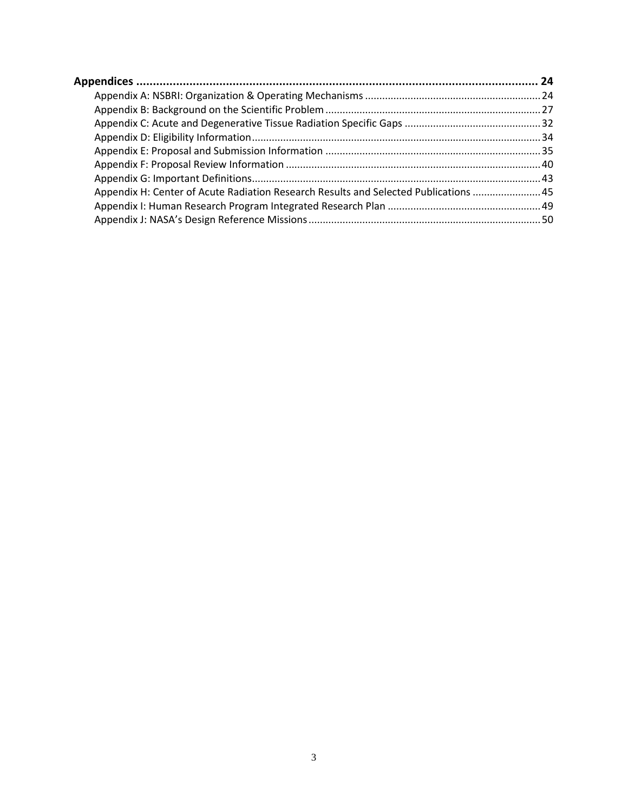| Appendix H: Center of Acute Radiation Research Results and Selected Publications  45 |  |
|--------------------------------------------------------------------------------------|--|
|                                                                                      |  |
|                                                                                      |  |
|                                                                                      |  |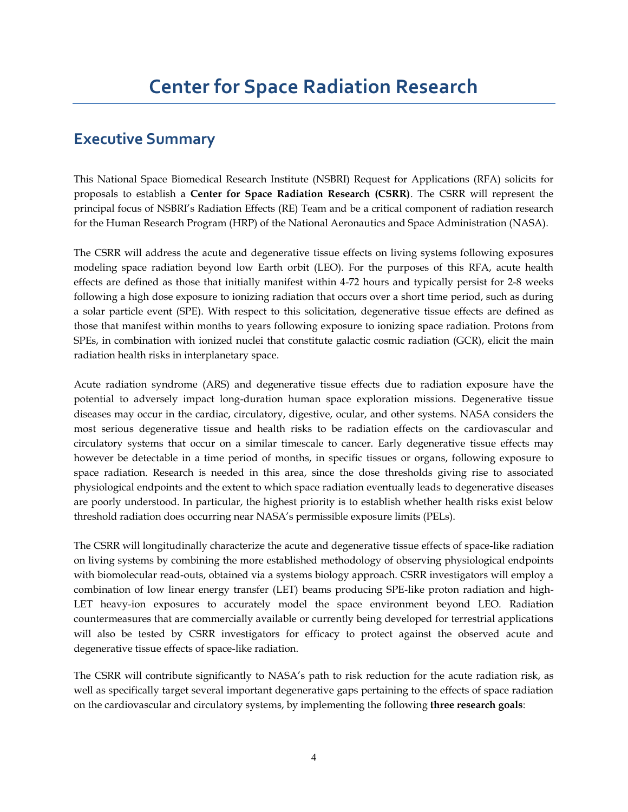### **Executive Summary**

This National Space Biomedical Research Institute (NSBRI) Request for Applications (RFA) solicits for proposals to establish a **Center for Space Radiation Research (CSRR)**. The CSRR will represent the principal focus of NSBRI's Radiation Effects (RE) Team and be a critical component of radiation research for the Human Research Program (HRP) of the National Aeronautics and Space Administration (NASA).

The CSRR will address the acute and degenerative tissue effects on living systems following exposures modeling space radiation beyond low Earth orbit (LEO). For the purposes of this RFA, acute health effects are defined as those that initially manifest within 4-72 hours and typically persist for 2-8 weeks following a high dose exposure to ionizing radiation that occurs over a short time period, such as during a solar particle event (SPE). With respect to this solicitation, degenerative tissue effects are defined as those that manifest within months to years following exposure to ionizing space radiation. Protons from SPEs, in combination with ionized nuclei that constitute galactic cosmic radiation (GCR), elicit the main radiation health risks in interplanetary space.

Acute radiation syndrome (ARS) and degenerative tissue effects due to radiation exposure have the potential to adversely impact long-duration human space exploration missions. Degenerative tissue diseases may occur in the cardiac, circulatory, digestive, ocular, and other systems. NASA considers the most serious degenerative tissue and health risks to be radiation effects on the cardiovascular and circulatory systems that occur on a similar timescale to cancer. Early degenerative tissue effects may however be detectable in a time period of months, in specific tissues or organs, following exposure to space radiation. Research is needed in this area, since the dose thresholds giving rise to associated physiological endpoints and the extent to which space radiation eventually leads to degenerative diseases are poorly understood. In particular, the highest priority is to establish whether health risks exist below threshold radiation does occurring near NASA's permissible exposure limits (PELs).

The CSRR will longitudinally characterize the acute and degenerative tissue effects of space-like radiation on living systems by combining the more established methodology of observing physiological endpoints with biomolecular read-outs, obtained via a systems biology approach. CSRR investigators will employ a combination of low linear energy transfer (LET) beams producing SPE-like proton radiation and high-LET heavy-ion exposures to accurately model the space environment beyond LEO. Radiation countermeasures that are commercially available or currently being developed for terrestrial applications will also be tested by CSRR investigators for efficacy to protect against the observed acute and degenerative tissue effects of space-like radiation.

The CSRR will contribute significantly to NASA's path to risk reduction for the acute radiation risk, as well as specifically target several important degenerative gaps pertaining to the effects of space radiation on the cardiovascular and circulatory systems, by implementing the following **three research goals**: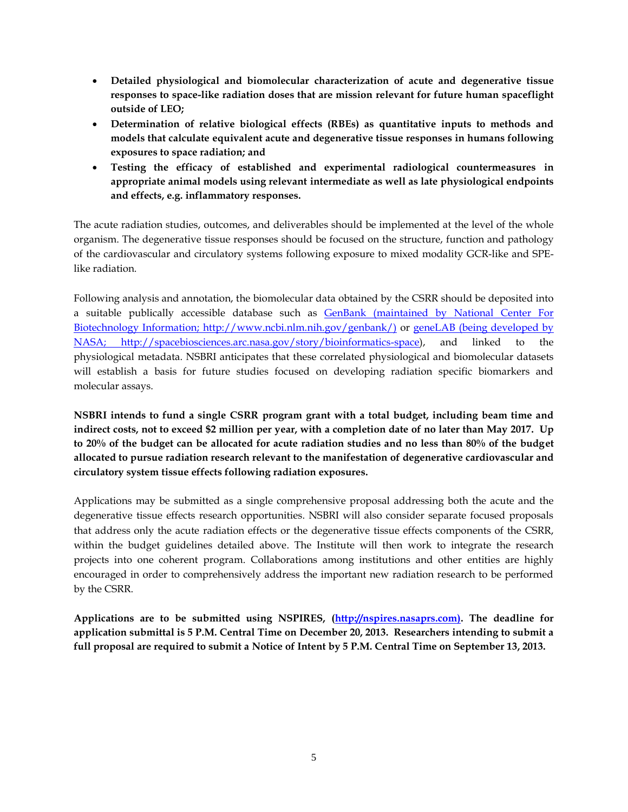- **Detailed physiological and biomolecular characterization of acute and degenerative tissue responses to space-like radiation doses that are mission relevant for future human spaceflight outside of LEO;**
- **Determination of relative biological effects (RBEs) as quantitative inputs to methods and models that calculate equivalent acute and degenerative tissue responses in humans following exposures to space radiation; and**
- **Testing the efficacy of established and experimental radiological countermeasures in appropriate animal models using relevant intermediate as well as late physiological endpoints and effects, e.g. inflammatory responses.**

The acute radiation studies, outcomes, and deliverables should be implemented at the level of the whole organism. The degenerative tissue responses should be focused on the structure, function and pathology of the cardiovascular and circulatory systems following exposure to mixed modality GCR-like and SPElike radiation.

Following analysis and annotation, the biomolecular data obtained by the CSRR should be deposited into a suitable publically accessible database such as GenBank [\(maintained by National Center For](http://www.ncbi.nlm.nih.gov/genbank/)  [Biotechnology Information; http://www.ncbi.nlm.nih.gov/genbank/\)](http://www.ncbi.nlm.nih.gov/genbank/) or geneLAB [\(being developed by](http://spacebiosciences.arc.nasa.gov/story/bioinformatics-space)  [NASA;](http://spacebiosciences.arc.nasa.gov/story/bioinformatics-space) [http://spacebiosciences.arc.nasa.gov/story/bioinformatics-space\)](http://spacebiosciences.arc.nasa.gov/story/bioinformatics-space), and linked to the physiological metadata. NSBRI anticipates that these correlated physiological and biomolecular datasets will establish a basis for future studies focused on developing radiation specific biomarkers and molecular assays.

**NSBRI intends to fund a single CSRR program grant with a total budget, including beam time and indirect costs, not to exceed \$2 million per year, with a completion date of no later than May 2017. Up to 20% of the budget can be allocated for acute radiation studies and no less than 80% of the budget allocated to pursue radiation research relevant to the manifestation of degenerative cardiovascular and circulatory system tissue effects following radiation exposures.**

Applications may be submitted as a single comprehensive proposal addressing both the acute and the degenerative tissue effects research opportunities. NSBRI will also consider separate focused proposals that address only the acute radiation effects or the degenerative tissue effects components of the CSRR, within the budget guidelines detailed above. The Institute will then work to integrate the research projects into one coherent program. Collaborations among institutions and other entities are highly encouraged in order to comprehensively address the important new radiation research to be performed by the CSRR.

**Applications are to be submitted using NSPIRES, [\(http://nspires.nasaprs.com\)](http://nspires.nasaprs.com/). The deadline for application submittal is 5 P.M. Central Time on December 20, 2013. Researchers intending to submit a full proposal are required to submit a Notice of Intent by 5 P.M. Central Time on September 13, 2013.**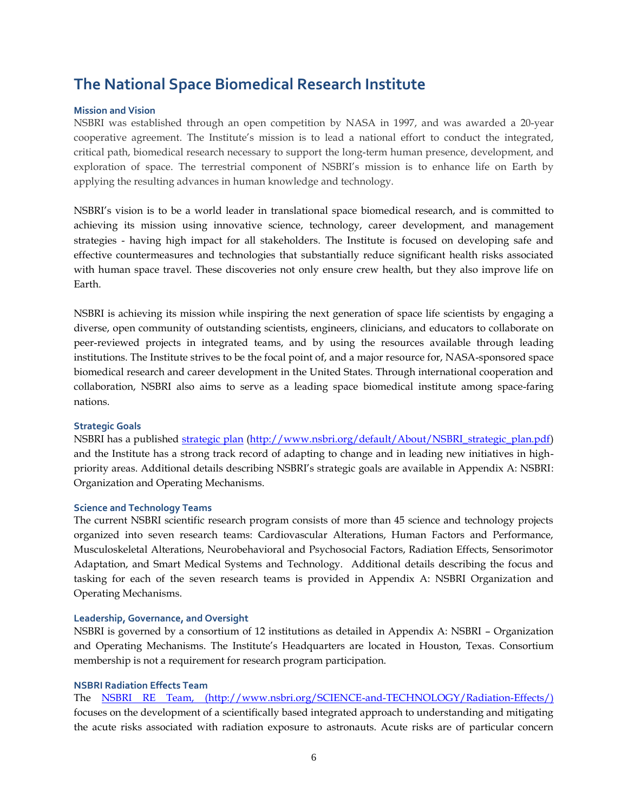### **The National Space Biomedical Research Institute**

### **Mission and Vision**

NSBRI was established through an open competition by NASA in 1997, and was awarded a 20-year cooperative agreement. The Institute's mission is to lead a national effort to conduct the integrated, critical path, biomedical research necessary to support the long-term human presence, development, and exploration of space. The terrestrial component of NSBRI's mission is to enhance life on Earth by applying the resulting advances in human knowledge and technology.

NSBRI's vision is to be a world leader in translational space biomedical research, and is committed to achieving its mission using innovative science, technology, career development, and management strategies - having high impact for all stakeholders. The Institute is focused on developing safe and effective countermeasures and technologies that substantially reduce significant health risks associated with human space travel. These discoveries not only ensure crew health, but they also improve life on Earth.

NSBRI is achieving its mission while inspiring the next generation of space life scientists by engaging a diverse, open community of outstanding scientists, engineers, clinicians, and educators to collaborate on peer-reviewed projects in integrated teams, and by using the resources available through leading institutions. The Institute strives to be the focal point of, and a major resource for, NASA-sponsored space biomedical research and career development in the United States. Through international cooperation and collaboration, NSBRI also aims to serve as a leading space biomedical institute among space-faring nations.

#### **Strategic Goals**

NSBRI has a published [strategic plan](http://www.nsbri.org/default/About/NSBRI_strategic_plan.pdf) [\(http://www.nsbri.org/default/About/NSBRI\\_strategic\\_plan.pdf\)](http://www.nsbri.org/default/About/NSBRI_strategic_plan.pdf) and the Institute has a strong track record of adapting to change and in leading new initiatives in highpriority areas. Additional details describing NSBRI's strategic goals are available in Appendix A: NSBRI: Organization and Operating Mechanisms.

### **Science and Technology Teams**

The current NSBRI scientific research program consists of more than 45 science and technology projects organized into seven research teams: Cardiovascular Alterations, Human Factors and Performance, Musculoskeletal Alterations, Neurobehavioral and Psychosocial Factors, Radiation Effects, Sensorimotor Adaptation, and Smart Medical Systems and Technology. Additional details describing the focus and tasking for each of the seven research teams is provided in Appendix A: NSBRI Organization and Operating Mechanisms.

#### **Leadership, Governance, and Oversight**

NSBRI is governed by a consortium of 12 institutions as detailed in Appendix A: NSBRI – Organization and Operating Mechanisms. The Institute's Headquarters are located in Houston, Texas. Consortium membership is not a requirement for research program participation.

### **NSBRI Radiation Effects Team**

The [NSBRI RE](http://www.nsbri.org/SCIENCE-and-TECHNOLOGY/Radiation-Effects/) Team, [\(http://www.nsbri.org/SCIENCE-and-TECHNOLOGY/Radiation-Effects/\)](http://www.nsbri.org/SCIENCE-and-TECHNOLOGY/Radiation-Effects/) focuses on the development of a scientifically based integrated approach to understanding and mitigating the acute risks associated with radiation exposure to astronauts. Acute risks are of particular concern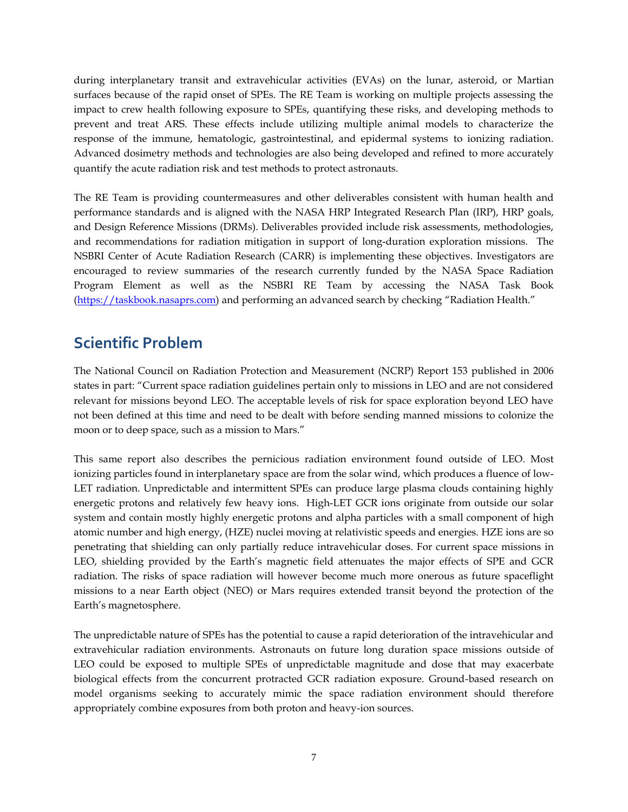during interplanetary transit and extravehicular activities (EVAs) on the lunar, asteroid, or Martian surfaces because of the rapid onset of SPEs. The RE Team is working on multiple projects assessing the impact to crew health following exposure to SPEs, quantifying these risks, and developing methods to prevent and treat ARS. These effects include utilizing multiple animal models to characterize the response of the immune, hematologic, gastrointestinal, and epidermal systems to ionizing radiation. Advanced dosimetry methods and technologies are also being developed and refined to more accurately quantify the acute radiation risk and test methods to protect astronauts.

The RE Team is providing countermeasures and other deliverables consistent with human health and performance standards and is aligned with the NASA HRP Integrated Research Plan (IRP), HRP goals, and Design Reference Missions (DRMs). Deliverables provided include risk assessments, methodologies, and recommendations for radiation mitigation in support of long-duration exploration missions. The NSBRI Center of Acute Radiation Research (CARR) is implementing these objectives. Investigators are encouraged to review summaries of the research currently funded by the NASA Space Radiation Program Element as well as the NSBRI RE Team by accessing the NASA Task Book [\(https://taskbook.nasaprs.com\)](https://taskbook.nasaprs.com/) and performing an advanced search by checking "Radiation Health."

### **Scientific Problem**

The National Council on Radiation Protection and Measurement (NCRP) Report 153 published in 2006 states in part: "Current space radiation guidelines pertain only to missions in LEO and are not considered relevant for missions beyond LEO. The acceptable levels of risk for space exploration beyond LEO have not been defined at this time and need to be dealt with before sending manned missions to colonize the moon or to deep space, such as a mission to Mars."

This same report also describes the pernicious radiation environment found outside of LEO. Most ionizing particles found in interplanetary space are from the solar wind, which produces a fluence of low-LET radiation. Unpredictable and intermittent SPEs can produce large plasma clouds containing highly energetic protons and relatively few heavy ions. High-LET GCR ions originate from outside our solar system and contain mostly highly energetic protons and alpha particles with a small component of high atomic number and high energy, (HZE) nuclei moving at relativistic speeds and energies. HZE ions are so penetrating that shielding can only partially reduce intravehicular doses. For current space missions in LEO, shielding provided by the Earth's magnetic field attenuates the major effects of SPE and GCR radiation. The risks of space radiation will however become much more onerous as future spaceflight missions to a near Earth object (NEO) or Mars requires extended transit beyond the protection of the Earth's magnetosphere.

The unpredictable nature of SPEs has the potential to cause a rapid deterioration of the intravehicular and extravehicular radiation environments. Astronauts on future long duration space missions outside of LEO could be exposed to multiple SPEs of unpredictable magnitude and dose that may exacerbate biological effects from the concurrent protracted GCR radiation exposure. Ground-based research on model organisms seeking to accurately mimic the space radiation environment should therefore appropriately combine exposures from both proton and heavy-ion sources.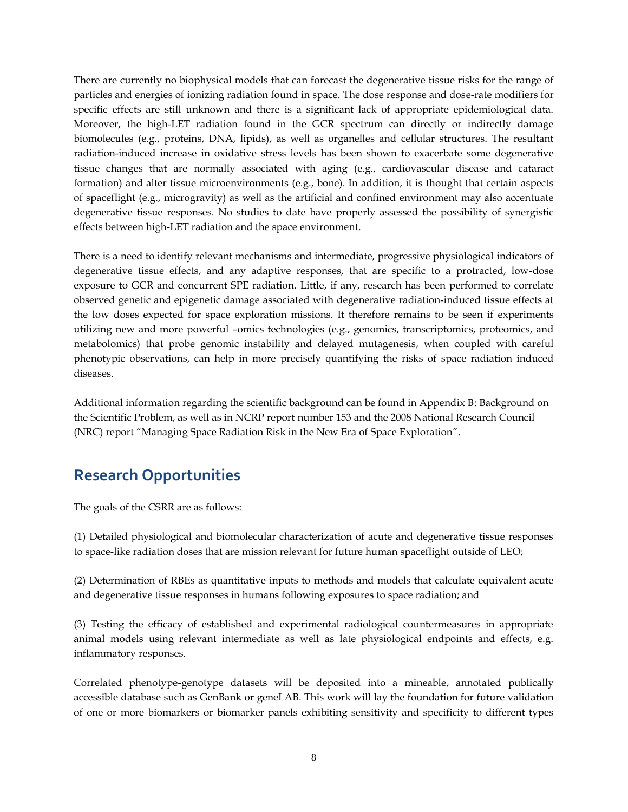There are currently no biophysical models that can forecast the degenerative tissue risks for the range of particles and energies of ionizing radiation found in space. The dose response and dose-rate modifiers for specific effects are still unknown and there is a significant lack of appropriate epidemiological data. Moreover, the high-LET radiation found in the GCR spectrum can directly or indirectly damage biomolecules (e.g., proteins, DNA, lipids), as well as organelles and cellular structures. The resultant radiation-induced increase in oxidative stress levels has been shown to exacerbate some degenerative tissue changes that are normally associated with aging (e.g., cardiovascular disease and cataract formation) and alter tissue microenvironments (e.g., bone). In addition, it is thought that certain aspects of spaceflight (e.g., microgravity) as well as the artificial and confined environment may also accentuate degenerative tissue responses. No studies to date have properly assessed the possibility of synergistic effects between high-LET radiation and the space environment.

There is a need to identify relevant mechanisms and intermediate, progressive physiological indicators of degenerative tissue effects, and any adaptive responses, that are specific to a protracted, low-dose exposure to GCR and concurrent SPE radiation. Little, if any, research has been performed to correlate observed genetic and epigenetic damage associated with degenerative radiation-induced tissue effects at the low doses expected for space exploration missions. It therefore remains to be seen if experiments utilizing new and more powerful –omics technologies (e.g., genomics, transcriptomics, proteomics, and metabolomics) that probe genomic instability and delayed mutagenesis, when coupled with careful phenotypic observations, can help in more precisely quantifying the risks of space radiation induced diseases.

Additional information regarding the scientific background can be found in Appendix B: Background on the Scientific Problem, as well as in NCRP report number 153 and the 2008 National Research Council (NRC) report "Managing Space Radiation Risk in the New Era of Space Exploration".

### **Research Opportunities**

The goals of the CSRR are as follows:

(1) Detailed physiological and biomolecular characterization of acute and degenerative tissue responses to space-like radiation doses that are mission relevant for future human spaceflight outside of LEO;

(2) Determination of RBEs as quantitative inputs to methods and models that calculate equivalent acute and degenerative tissue responses in humans following exposures to space radiation; and

(3) Testing the efficacy of established and experimental radiological countermeasures in appropriate animal models using relevant intermediate as well as late physiological endpoints and effects, e.g. inflammatory responses.

Correlated phenotype-genotype datasets will be deposited into a mineable, annotated publically accessible database such as GenBank or geneLAB. This work will lay the foundation for future validation of one or more biomarkers or biomarker panels exhibiting sensitivity and specificity to different types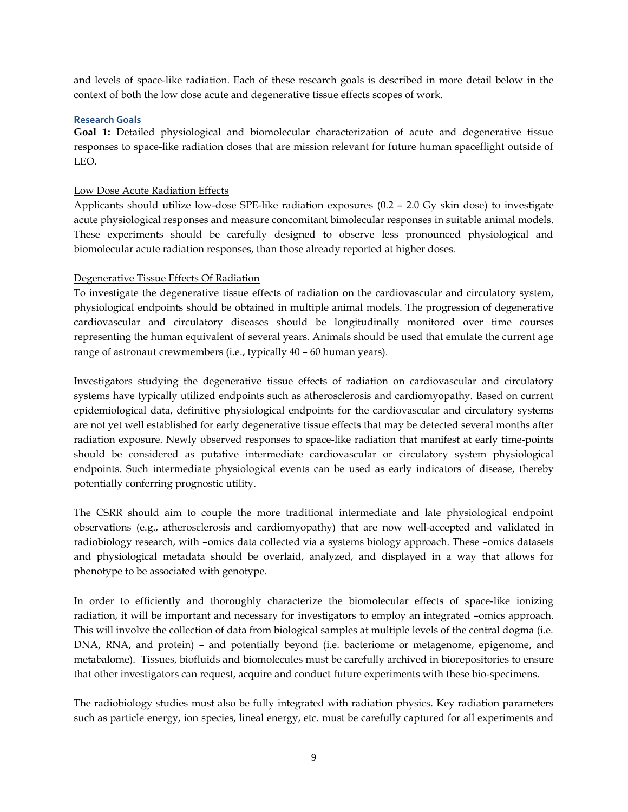and levels of space-like radiation. Each of these research goals is described in more detail below in the context of both the low dose acute and degenerative tissue effects scopes of work.

### **Research Goals**

**Goal 1:** Detailed physiological and biomolecular characterization of acute and degenerative tissue responses to space-like radiation doses that are mission relevant for future human spaceflight outside of LEO.

### Low Dose Acute Radiation Effects

Applicants should utilize low-dose SPE-like radiation exposures (0.2 – 2.0 Gy skin dose) to investigate acute physiological responses and measure concomitant bimolecular responses in suitable animal models. These experiments should be carefully designed to observe less pronounced physiological and biomolecular acute radiation responses, than those already reported at higher doses.

### Degenerative Tissue Effects Of Radiation

To investigate the degenerative tissue effects of radiation on the cardiovascular and circulatory system, physiological endpoints should be obtained in multiple animal models. The progression of degenerative cardiovascular and circulatory diseases should be longitudinally monitored over time courses representing the human equivalent of several years. Animals should be used that emulate the current age range of astronaut crewmembers (i.e., typically 40 – 60 human years).

Investigators studying the degenerative tissue effects of radiation on cardiovascular and circulatory systems have typically utilized endpoints such as atherosclerosis and cardiomyopathy. Based on current epidemiological data, definitive physiological endpoints for the cardiovascular and circulatory systems are not yet well established for early degenerative tissue effects that may be detected several months after radiation exposure. Newly observed responses to space-like radiation that manifest at early time-points should be considered as putative intermediate cardiovascular or circulatory system physiological endpoints. Such intermediate physiological events can be used as early indicators of disease, thereby potentially conferring prognostic utility.

The CSRR should aim to couple the more traditional intermediate and late physiological endpoint observations (e.g., atherosclerosis and cardiomyopathy) that are now well-accepted and validated in radiobiology research, with –omics data collected via a systems biology approach. These –omics datasets and physiological metadata should be overlaid, analyzed, and displayed in a way that allows for phenotype to be associated with genotype.

In order to efficiently and thoroughly characterize the biomolecular effects of space-like ionizing radiation, it will be important and necessary for investigators to employ an integrated –omics approach. This will involve the collection of data from biological samples at multiple levels of the central dogma (i.e. DNA, RNA, and protein) – and potentially beyond (i.e. bacteriome or metagenome, epigenome, and metabalome). Tissues, biofluids and biomolecules must be carefully archived in biorepositories to ensure that other investigators can request, acquire and conduct future experiments with these bio-specimens.

The radiobiology studies must also be fully integrated with radiation physics. Key radiation parameters such as particle energy, ion species, lineal energy, etc. must be carefully captured for all experiments and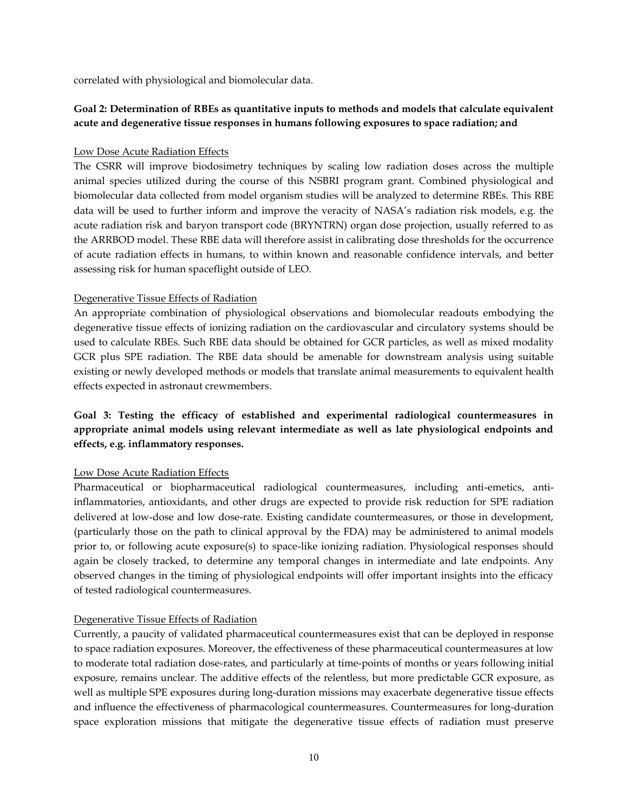correlated with physiological and biomolecular data.

### **Goal 2: Determination of RBEs as quantitative inputs to methods and models that calculate equivalent acute and degenerative tissue responses in humans following exposures to space radiation; and**

### Low Dose Acute Radiation Effects

The CSRR will improve biodosimetry techniques by scaling low radiation doses across the multiple animal species utilized during the course of this NSBRI program grant. Combined physiological and biomolecular data collected from model organism studies will be analyzed to determine RBEs. This RBE data will be used to further inform and improve the veracity of NASA's radiation risk models, e.g. the acute radiation risk and baryon transport code (BRYNTRN) organ dose projection, usually referred to as the ARRBOD model. These RBE data will therefore assist in calibrating dose thresholds for the occurrence of acute radiation effects in humans, to within known and reasonable confidence intervals, and better assessing risk for human spaceflight outside of LEO.

### Degenerative Tissue Effects of Radiation

An appropriate combination of physiological observations and biomolecular readouts embodying the degenerative tissue effects of ionizing radiation on the cardiovascular and circulatory systems should be used to calculate RBEs. Such RBE data should be obtained for GCR particles, as well as mixed modality GCR plus SPE radiation. The RBE data should be amenable for downstream analysis using suitable existing or newly developed methods or models that translate animal measurements to equivalent health effects expected in astronaut crewmembers.

### **Goal 3: Testing the efficacy of established and experimental radiological countermeasures in appropriate animal models using relevant intermediate as well as late physiological endpoints and effects, e.g. inflammatory responses.**

### Low Dose Acute Radiation Effects

Pharmaceutical or biopharmaceutical radiological countermeasures, including anti-emetics, antiinflammatories, antioxidants, and other drugs are expected to provide risk reduction for SPE radiation delivered at low-dose and low dose-rate. Existing candidate countermeasures, or those in development, (particularly those on the path to clinical approval by the FDA) may be administered to animal models prior to, or following acute exposure(s) to space-like ionizing radiation. Physiological responses should again be closely tracked, to determine any temporal changes in intermediate and late endpoints. Any observed changes in the timing of physiological endpoints will offer important insights into the efficacy of tested radiological countermeasures.

### Degenerative Tissue Effects of Radiation

Currently, a paucity of validated pharmaceutical countermeasures exist that can be deployed in response to space radiation exposures. Moreover, the effectiveness of these pharmaceutical countermeasures at low to moderate total radiation dose-rates, and particularly at time-points of months or years following initial exposure, remains unclear. The additive effects of the relentless, but more predictable GCR exposure, as well as multiple SPE exposures during long-duration missions may exacerbate degenerative tissue effects and influence the effectiveness of pharmacological countermeasures. Countermeasures for long-duration space exploration missions that mitigate the degenerative tissue effects of radiation must preserve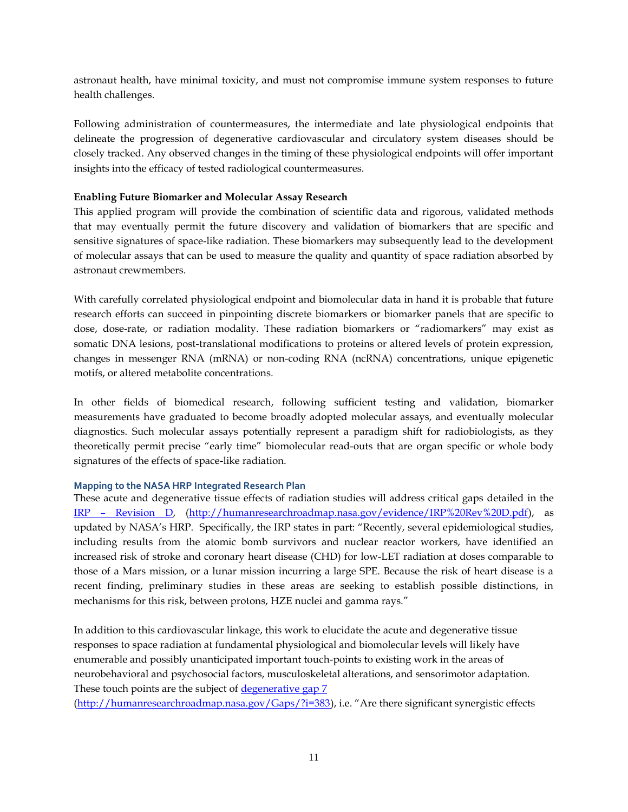astronaut health, have minimal toxicity, and must not compromise immune system responses to future health challenges.

Following administration of countermeasures, the intermediate and late physiological endpoints that delineate the progression of degenerative cardiovascular and circulatory system diseases should be closely tracked. Any observed changes in the timing of these physiological endpoints will offer important insights into the efficacy of tested radiological countermeasures.

### **Enabling Future Biomarker and Molecular Assay Research**

This applied program will provide the combination of scientific data and rigorous, validated methods that may eventually permit the future discovery and validation of biomarkers that are specific and sensitive signatures of space-like radiation. These biomarkers may subsequently lead to the development of molecular assays that can be used to measure the quality and quantity of space radiation absorbed by astronaut crewmembers.

With carefully correlated physiological endpoint and biomolecular data in hand it is probable that future research efforts can succeed in pinpointing discrete biomarkers or biomarker panels that are specific to dose, dose-rate, or radiation modality. These radiation biomarkers or "radiomarkers" may exist as somatic DNA lesions, post-translational modifications to proteins or altered levels of protein expression, changes in messenger RNA (mRNA) or non-coding RNA (ncRNA) concentrations, unique epigenetic motifs, or altered metabolite concentrations.

In other fields of biomedical research, following sufficient testing and validation, biomarker measurements have graduated to become broadly adopted molecular assays, and eventually molecular diagnostics. Such molecular assays potentially represent a paradigm shift for radiobiologists, as they theoretically permit precise "early time" biomolecular read-outs that are organ specific or whole body signatures of the effects of space-like radiation.

### **Mapping to the NASA HRP Integrated Research Plan**

These acute and degenerative tissue effects of radiation studies will address critical gaps detailed in the IRP – [Revision D,](http://humanresearchroadmap.nasa.gov/evidence/IRP%20Rev%20D.pdf) [\(http://humanresearchroadmap.nasa.gov/evidence/IRP%20Rev%20D.pdf\)](http://humanresearchroadmap.nasa.gov/evidence/IRP%20Rev%20D.pdf), as updated by NASA's HRP. Specifically, the IRP states in part: "Recently, several epidemiological studies, including results from the atomic bomb survivors and nuclear reactor workers, have identified an increased risk of stroke and coronary heart disease (CHD) for low-LET radiation at doses comparable to those of a Mars mission, or a lunar mission incurring a large SPE. Because the risk of heart disease is a recent finding, preliminary studies in these areas are seeking to establish possible distinctions, in mechanisms for this risk, between protons, HZE nuclei and gamma rays."

In addition to this cardiovascular linkage, this work to elucidate the acute and degenerative tissue responses to space radiation at fundamental physiological and biomolecular levels will likely have enumerable and possibly unanticipated important touch-points to existing work in the areas of neurobehavioral and psychosocial factors, musculoskeletal alterations, and sensorimotor adaptation. These touch points are the subject of [degenerative gap 7](http://humanresearchroadmap.nasa.gov/Gaps/?i=383)

[\(http://humanresearchroadmap.nasa.gov/Gaps/?i=383\)](http://humanresearchroadmap.nasa.gov/Gaps/?i=383), i.e. ["Are there significant synergistic effects](http://humanresearchroadmap.nasa.gov/Gaps/?i=383)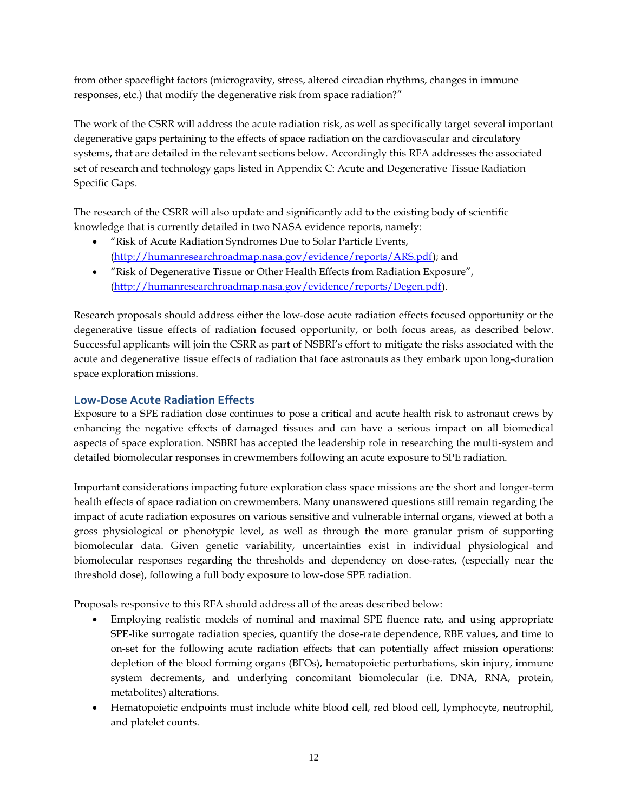[from other spaceflight factors \(microgravity, stress, altered circadian rhythms, changes in immune](http://humanresearchroadmap.nasa.gov/Gaps/?i=383)  responses, etc.) [that modify the degenerative risk from space radiation?](http://humanresearchroadmap.nasa.gov/Gaps/?i=383)"

The work of the CSRR will address the acute radiation risk, as well as specifically target several important degenerative gaps pertaining to the effects of space radiation on the cardiovascular and circulatory systems, that are detailed in the relevant sections below. Accordingly this RFA addresses the associated set of research and technology gaps listed in Appendix C: Acute and Degenerative Tissue Radiation Specific Gaps.

The research of the CSRR will also update and significantly add to the existing body of scientific knowledge that is currently detailed in two NASA evidence reports, namely:

- "Risk of Acute Radiation Syndromes Due to Solar Particle Events, [\(http://humanresearchroadmap.nasa.gov/evidence/reports/ARS.pdf\)](http://humanresearchroadmap.nasa.gov/evidence/reports/ARS.pdf); and
- "Risk of Degenerative Tissue or Other Health Effects from Radiation Exposure", [\(http://humanresearchroadmap.nasa.gov/evidence/reports/Degen.pdf\)](http://humanresearchroadmap.nasa.gov/evidence/reports/Degen.pdf).

Research proposals should address either the low-dose acute radiation effects focused opportunity or the degenerative tissue effects of radiation focused opportunity, or both focus areas, as described below. Successful applicants will join the CSRR as part of NSBRI's effort to mitigate the risks associated with the acute and degenerative tissue effects of radiation that face astronauts as they embark upon long-duration space exploration missions.

### **Low-Dose Acute Radiation Effects**

Exposure to a SPE radiation dose continues to pose a critical and acute health risk to astronaut crews by enhancing the negative effects of damaged tissues and can have a serious impact on all biomedical aspects of space exploration. NSBRI has accepted the leadership role in researching the multi-system and detailed biomolecular responses in crewmembers following an acute exposure to SPE radiation.

Important considerations impacting future exploration class space missions are the short and longer-term health effects of space radiation on crewmembers. Many unanswered questions still remain regarding the impact of acute radiation exposures on various sensitive and vulnerable internal organs, viewed at both a gross physiological or phenotypic level, as well as through the more granular prism of supporting biomolecular data. Given genetic variability, uncertainties exist in individual physiological and biomolecular responses regarding the thresholds and dependency on dose-rates, (especially near the threshold dose), following a full body exposure to low-dose SPE radiation.

Proposals responsive to this RFA should address all of the areas described below:

- Employing realistic models of nominal and maximal SPE fluence rate, and using appropriate SPE-like surrogate radiation species, quantify the dose-rate dependence, RBE values, and time to on-set for the following acute radiation effects that can potentially affect mission operations: depletion of the blood forming organs (BFOs), hematopoietic perturbations, skin injury, immune system decrements, and underlying concomitant biomolecular (i.e. DNA, RNA, protein, metabolites) alterations.
- Hematopoietic endpoints must include white blood cell, red blood cell, lymphocyte, neutrophil, and platelet counts.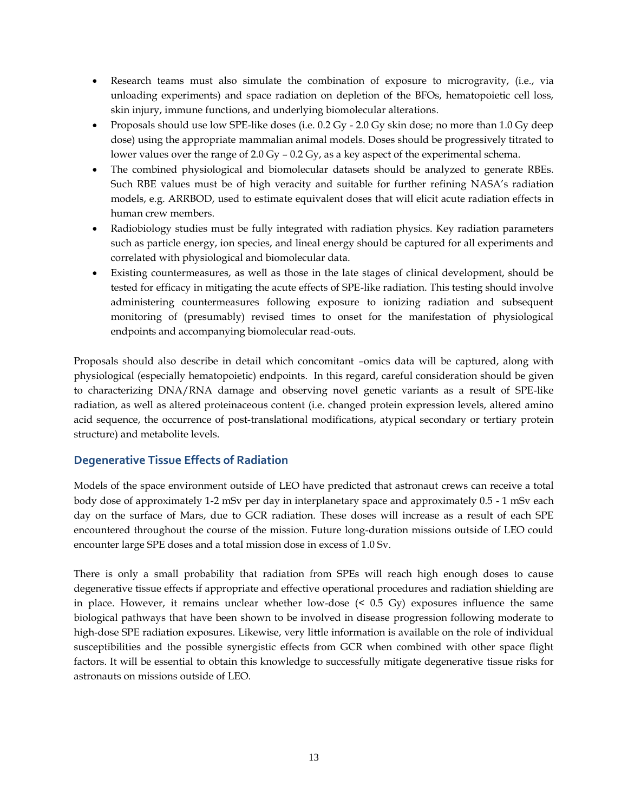- Research teams must also simulate the combination of exposure to microgravity, (i.e., via unloading experiments) and space radiation on depletion of the BFOs, hematopoietic cell loss, skin injury, immune functions, and underlying biomolecular alterations.
- Proposals should use low SPE-like doses (i.e. 0.2 Gy 2.0 Gy skin dose; no more than 1.0 Gy deep dose) using the appropriate mammalian animal models. Doses should be progressively titrated to lower values over the range of 2.0 Gy – 0.2 Gy, as a key aspect of the experimental schema.
- The combined physiological and biomolecular datasets should be analyzed to generate RBEs. Such RBE values must be of high veracity and suitable for further refining NASA's radiation models, e.g. ARRBOD, used to estimate equivalent doses that will elicit acute radiation effects in human crew members.
- Radiobiology studies must be fully integrated with radiation physics. Key radiation parameters such as particle energy, ion species, and lineal energy should be captured for all experiments and correlated with physiological and biomolecular data.
- Existing countermeasures, as well as those in the late stages of clinical development, should be tested for efficacy in mitigating the acute effects of SPE-like radiation. This testing should involve administering countermeasures following exposure to ionizing radiation and subsequent monitoring of (presumably) revised times to onset for the manifestation of physiological endpoints and accompanying biomolecular read-outs.

Proposals should also describe in detail which concomitant –omics data will be captured, along with physiological (especially hematopoietic) endpoints. In this regard, careful consideration should be given to characterizing DNA/RNA damage and observing novel genetic variants as a result of SPE-like radiation, as well as altered proteinaceous content (i.e. changed protein expression levels, altered amino acid sequence, the occurrence of post-translational modifications, atypical secondary or tertiary protein structure) and metabolite levels.

### **Degenerative Tissue Effects of Radiation**

Models of the space environment outside of LEO have predicted that astronaut crews can receive a total body dose of approximately 1-2 mSv per day in interplanetary space and approximately 0.5 - 1 mSv each day on the surface of Mars, due to GCR radiation. These doses will increase as a result of each SPE encountered throughout the course of the mission. Future long-duration missions outside of LEO could encounter large SPE doses and a total mission dose in excess of 1.0 Sv.

There is only a small probability that radiation from SPEs will reach high enough doses to cause degenerative tissue effects if appropriate and effective operational procedures and radiation shielding are in place. However, it remains unclear whether low-dose (< 0.5 Gy) exposures influence the same biological pathways that have been shown to be involved in disease progression following moderate to high-dose SPE radiation exposures. Likewise, very little information is available on the role of individual susceptibilities and the possible synergistic effects from GCR when combined with other space flight factors. It will be essential to obtain this knowledge to successfully mitigate degenerative tissue risks for astronauts on missions outside of LEO.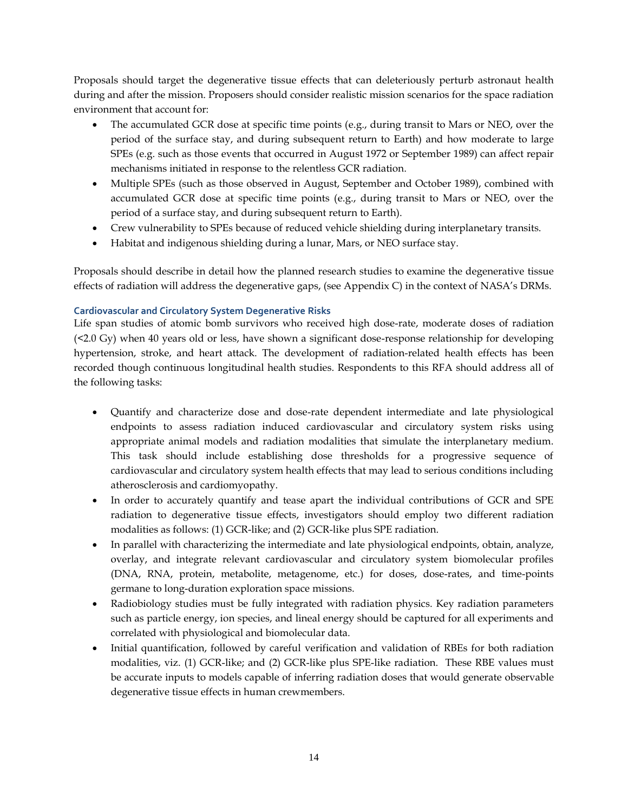Proposals should target the degenerative tissue effects that can deleteriously perturb astronaut health during and after the mission. Proposers should consider realistic mission scenarios for the space radiation environment that account for:

- The accumulated GCR dose at specific time points (e.g., during transit to Mars or NEO, over the period of the surface stay, and during subsequent return to Earth) and how moderate to large SPEs (e.g. such as those events that occurred in August 1972 or September 1989) can affect repair mechanisms initiated in response to the relentless GCR radiation.
- Multiple SPEs (such as those observed in August, September and October 1989), combined with accumulated GCR dose at specific time points (e.g., during transit to Mars or NEO, over the period of a surface stay, and during subsequent return to Earth).
- Crew vulnerability to SPEs because of reduced vehicle shielding during interplanetary transits.
- Habitat and indigenous shielding during a lunar, Mars, or NEO surface stay.

Proposals should describe in detail how the planned research studies to examine the degenerative tissue effects of radiation will address the degenerative gaps, (see Appendix C) in the context of NASA's DRMs.

### **Cardiovascular and Circulatory System Degenerative Risks**

Life span studies of atomic bomb survivors who received high dose-rate, moderate doses of radiation (<2.0 Gy) when 40 years old or less, have shown a significant dose-response relationship for developing hypertension, stroke, and heart attack. The development of radiation-related health effects has been recorded though continuous longitudinal health studies. Respondents to this RFA should address all of the following tasks:

- Quantify and characterize dose and dose-rate dependent intermediate and late physiological endpoints to assess radiation induced cardiovascular and circulatory system risks using appropriate animal models and radiation modalities that simulate the interplanetary medium. This task should include establishing dose thresholds for a progressive sequence of cardiovascular and circulatory system health effects that may lead to serious conditions including atherosclerosis and cardiomyopathy.
- In order to accurately quantify and tease apart the individual contributions of GCR and SPE radiation to degenerative tissue effects, investigators should employ two different radiation modalities as follows: (1) GCR-like; and (2) GCR-like plus SPE radiation.
- In parallel with characterizing the intermediate and late physiological endpoints, obtain, analyze, overlay, and integrate relevant cardiovascular and circulatory system biomolecular profiles (DNA, RNA, protein, metabolite, metagenome, etc.) for doses, dose-rates, and time-points germane to long-duration exploration space missions.
- Radiobiology studies must be fully integrated with radiation physics. Key radiation parameters such as particle energy, ion species, and lineal energy should be captured for all experiments and correlated with physiological and biomolecular data.
- Initial quantification, followed by careful verification and validation of RBEs for both radiation modalities, viz. (1) GCR-like; and (2) GCR-like plus SPE-like radiation. These RBE values must be accurate inputs to models capable of inferring radiation doses that would generate observable degenerative tissue effects in human crewmembers.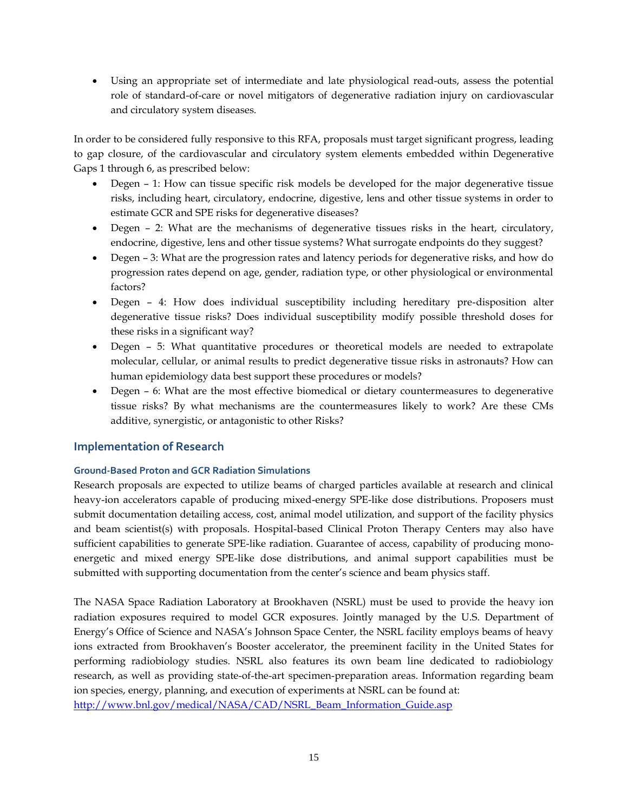Using an appropriate set of intermediate and late physiological read-outs, assess the potential role of standard-of-care or novel mitigators of degenerative radiation injury on cardiovascular and circulatory system diseases.

In order to be considered fully responsive to this RFA, proposals must target significant progress, leading to gap closure, of the cardiovascular and circulatory system elements embedded within Degenerative Gaps 1 through 6, as prescribed below:

- Degen 1: How can tissue specific risk models be developed for the major degenerative tissue [risks, including heart, circulatory, endocrine, digestive, lens and other tissue systems in order to](http://humanresearchroadmap.nasa.gov/Gaps/?i=373)  [estimate GCR and SPE risks for degenerative diseases?](http://humanresearchroadmap.nasa.gov/Gaps/?i=373)
- Degen [2: What are the mechanisms of degenerative tissues risks in the heart, circulatory,](http://humanresearchroadmap.nasa.gov/Gaps/?i=374)  [endocrine, digestive, lens and other tissue systems? What surrogate endpoints do they suggest?](http://humanresearchroadmap.nasa.gov/Gaps/?i=374)
- Degen [3: What are the progression rates and latency periods for degenerative risks, and how do](http://humanresearchroadmap.nasa.gov/Gaps/?i=377)  [progression rates depend on age, gender, radiation type, or other physiological or environmental](http://humanresearchroadmap.nasa.gov/Gaps/?i=377)  [factors?](http://humanresearchroadmap.nasa.gov/Gaps/?i=377)
- Degen [4: How does individual susceptibility including hereditary pre-disposition alter](http://humanresearchroadmap.nasa.gov/Gaps/?i=379)  [degenerative tissue risks? Does individual susceptibility modify possible threshold doses for](http://humanresearchroadmap.nasa.gov/Gaps/?i=379)  [these risks in a significant way?](http://humanresearchroadmap.nasa.gov/Gaps/?i=379)
- Degen [5: What quantitative procedures or theoretical models are needed to extrapolate](http://humanresearchroadmap.nasa.gov/Gaps/?i=381)  [molecular, cellular, or animal results to predict degenerative tissue risks in astronauts? How can](http://humanresearchroadmap.nasa.gov/Gaps/?i=381)  [human epidemiology data best support these procedures or models?](http://humanresearchroadmap.nasa.gov/Gaps/?i=381)
- Degen 6: What are the most effective biomedical or dietary countermeasures to degenerative [tissue risks? By what mechanisms are the countermeasures likely to work? Are these CMs](http://humanresearchroadmap.nasa.gov/Gaps/?i=382)  [additive, synergistic, or antagonistic to other Risks?](http://humanresearchroadmap.nasa.gov/Gaps/?i=382)

### **Implementation of Research**

### **Ground-Based Proton and GCR Radiation Simulations**

Research proposals are expected to utilize beams of charged particles available at research and clinical heavy-ion accelerators capable of producing mixed-energy SPE-like dose distributions. Proposers must submit documentation detailing access, cost, animal model utilization, and support of the facility physics and beam scientist(s) with proposals. Hospital-based Clinical Proton Therapy Centers may also have sufficient capabilities to generate SPE-like radiation. Guarantee of access, capability of producing monoenergetic and mixed energy SPE-like dose distributions, and animal support capabilities must be submitted with supporting documentation from the center's science and beam physics staff.

The NASA Space Radiation Laboratory at Brookhaven (NSRL) must be used to provide the heavy ion radiation exposures required to model GCR exposures. Jointly managed by the U.S. Department of Energy's Office of Science and NASA's Johnson Space Center, the NSRL facility employs beams of heavy ions extracted from Brookhaven's Booster accelerator, the preeminent facility in the United States for performing radiobiology studies. NSRL also features its own beam line dedicated to radiobiology research, as well as providing state-of-the-art specimen-preparation areas. Information regarding beam ion species, energy, planning, and execution of experiments at NSRL can be found at: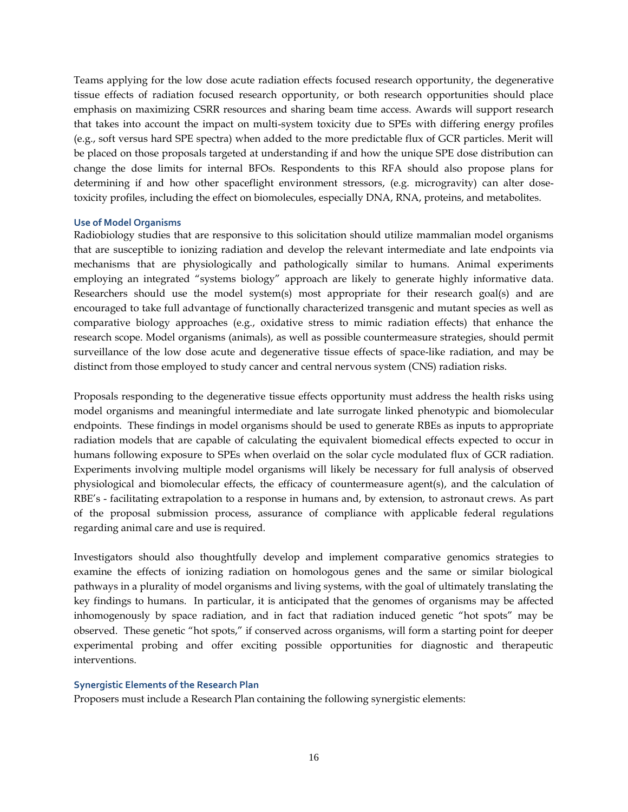Teams applying for the low dose acute radiation effects focused research opportunity, the degenerative tissue effects of radiation focused research opportunity, or both research opportunities should place emphasis on maximizing CSRR resources and sharing beam time access. Awards will support research that takes into account the impact on multi-system toxicity due to SPEs with differing energy profiles (e.g., soft versus hard SPE spectra) when added to the more predictable flux of GCR particles. Merit will be placed on those proposals targeted at understanding if and how the unique SPE dose distribution can change the dose limits for internal BFOs. Respondents to this RFA should also propose plans for determining if and how other spaceflight environment stressors, (e.g. microgravity) can alter dosetoxicity profiles, including the effect on biomolecules, especially DNA, RNA, proteins, and metabolites.

#### **Use of Model Organisms**

Radiobiology studies that are responsive to this solicitation should utilize mammalian model organisms that are susceptible to ionizing radiation and develop the relevant intermediate and late endpoints via mechanisms that are physiologically and pathologically similar to humans. Animal experiments employing an integrated "systems biology" approach are likely to generate highly informative data. Researchers should use the model system(s) most appropriate for their research goal(s) and are encouraged to take full advantage of functionally characterized transgenic and mutant species as well as comparative biology approaches (e.g., oxidative stress to mimic radiation effects) that enhance the research scope. Model organisms (animals), as well as possible countermeasure strategies, should permit surveillance of the low dose acute and degenerative tissue effects of space-like radiation, and may be distinct from those employed to study cancer and central nervous system (CNS) radiation risks.

Proposals responding to the degenerative tissue effects opportunity must address the health risks using model organisms and meaningful intermediate and late surrogate linked phenotypic and biomolecular endpoints. These findings in model organisms should be used to generate RBEs as inputs to appropriate radiation models that are capable of calculating the equivalent biomedical effects expected to occur in humans following exposure to SPEs when overlaid on the solar cycle modulated flux of GCR radiation. Experiments involving multiple model organisms will likely be necessary for full analysis of observed physiological and biomolecular effects, the efficacy of countermeasure agent(s), and the calculation of RBE's - facilitating extrapolation to a response in humans and, by extension, to astronaut crews. As part of the proposal submission process, assurance of compliance with applicable federal regulations regarding animal care and use is required.

Investigators should also thoughtfully develop and implement comparative genomics strategies to examine the effects of ionizing radiation on homologous genes and the same or similar biological pathways in a plurality of model organisms and living systems, with the goal of ultimately translating the key findings to humans. In particular, it is anticipated that the genomes of organisms may be affected inhomogenously by space radiation, and in fact that radiation induced genetic "hot spots" may be observed. These genetic "hot spots," if conserved across organisms, will form a starting point for deeper experimental probing and offer exciting possible opportunities for diagnostic and therapeutic interventions.

### **Synergistic Elements of the Research Plan**

Proposers must include a Research Plan containing the following synergistic elements: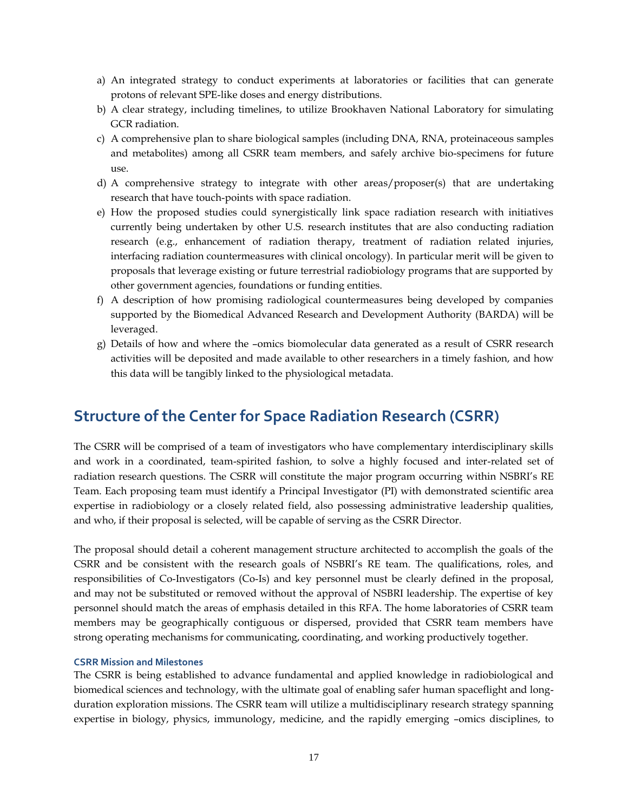- a) An integrated strategy to conduct experiments at laboratories or facilities that can generate protons of relevant SPE-like doses and energy distributions.
- b) A clear strategy, including timelines, to utilize Brookhaven National Laboratory for simulating GCR radiation.
- c) A comprehensive plan to share biological samples (including DNA, RNA, proteinaceous samples and metabolites) among all CSRR team members, and safely archive bio-specimens for future use.
- d) A comprehensive strategy to integrate with other areas/proposer(s) that are undertaking research that have touch-points with space radiation.
- e) How the proposed studies could synergistically link space radiation research with initiatives currently being undertaken by other U.S. research institutes that are also conducting radiation research (e.g., enhancement of radiation therapy, treatment of radiation related injuries, interfacing radiation countermeasures with clinical oncology). In particular merit will be given to proposals that leverage existing or future terrestrial radiobiology programs that are supported by other government agencies, foundations or funding entities.
- f) A description of how promising radiological countermeasures being developed by companies supported by the Biomedical Advanced Research and Development Authority (BARDA) will be leveraged.
- g) Details of how and where the –omics biomolecular data generated as a result of CSRR research activities will be deposited and made available to other researchers in a timely fashion, and how this data will be tangibly linked to the physiological metadata.

### **Structure of the Center for Space Radiation Research (CSRR)**

The CSRR will be comprised of a team of investigators who have complementary interdisciplinary skills and work in a coordinated, team-spirited fashion, to solve a highly focused and inter-related set of radiation research questions. The CSRR will constitute the major program occurring within NSBRI's RE Team. Each proposing team must identify a Principal Investigator (PI) with demonstrated scientific area expertise in radiobiology or a closely related field, also possessing administrative leadership qualities, and who, if their proposal is selected, will be capable of serving as the CSRR Director.

The proposal should detail a coherent management structure architected to accomplish the goals of the CSRR and be consistent with the research goals of NSBRI's RE team. The qualifications, roles, and responsibilities of Co-Investigators (Co-Is) and key personnel must be clearly defined in the proposal, and may not be substituted or removed without the approval of NSBRI leadership. The expertise of key personnel should match the areas of emphasis detailed in this RFA. The home laboratories of CSRR team members may be geographically contiguous or dispersed, provided that CSRR team members have strong operating mechanisms for communicating, coordinating, and working productively together.

#### **CSRR Mission and Milestones**

The CSRR is being established to advance fundamental and applied knowledge in radiobiological and biomedical sciences and technology, with the ultimate goal of enabling safer human spaceflight and longduration exploration missions. The CSRR team will utilize a multidisciplinary research strategy spanning expertise in biology, physics, immunology, medicine, and the rapidly emerging –omics disciplines, to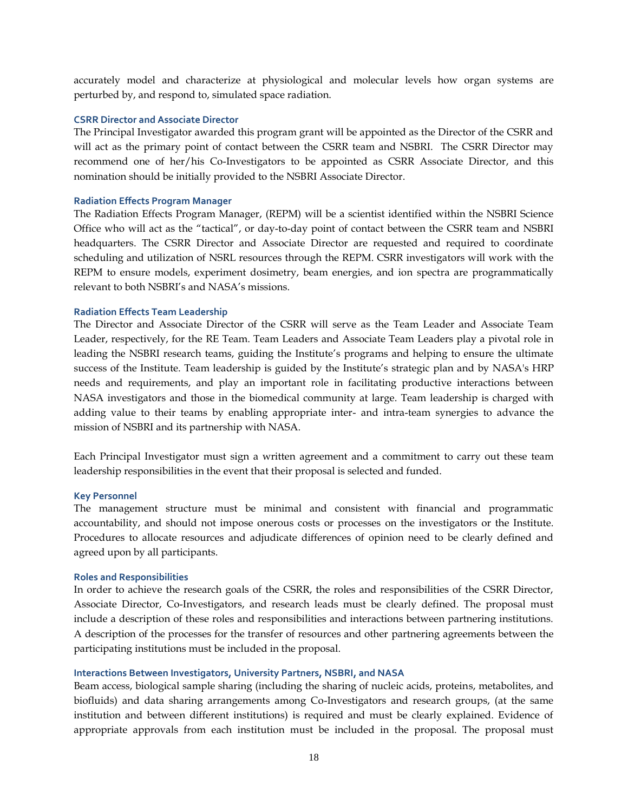accurately model and characterize at physiological and molecular levels how organ systems are perturbed by, and respond to, simulated space radiation.

#### **CSRR Director and Associate Director**

The Principal Investigator awarded this program grant will be appointed as the Director of the CSRR and will act as the primary point of contact between the CSRR team and NSBRI. The CSRR Director may recommend one of her/his Co-Investigators to be appointed as CSRR Associate Director, and this nomination should be initially provided to the NSBRI Associate Director.

#### **Radiation Effects Program Manager**

The Radiation Effects Program Manager, (REPM) will be a scientist identified within the NSBRI Science Office who will act as the "tactical", or day-to-day point of contact between the CSRR team and NSBRI headquarters. The CSRR Director and Associate Director are requested and required to coordinate scheduling and utilization of NSRL resources through the REPM. CSRR investigators will work with the REPM to ensure models, experiment dosimetry, beam energies, and ion spectra are programmatically relevant to both NSBRI's and NASA's missions.

### **Radiation Effects Team Leadership**

The Director and Associate Director of the CSRR will serve as the Team Leader and Associate Team Leader, respectively, for the RE Team. Team Leaders and Associate Team Leaders play a pivotal role in leading the NSBRI research teams, guiding the Institute's programs and helping to ensure the ultimate success of the Institute. Team leadership is guided by the Institute's strategic plan and by NASA's HRP needs and requirements, and play an important role in facilitating productive interactions between NASA investigators and those in the biomedical community at large. Team leadership is charged with adding value to their teams by enabling appropriate inter- and intra-team synergies to advance the mission of NSBRI and its partnership with NASA.

Each Principal Investigator must sign a written agreement and a commitment to carry out these team leadership responsibilities in the event that their proposal is selected and funded.

#### **Key Personnel**

The management structure must be minimal and consistent with financial and programmatic accountability, and should not impose onerous costs or processes on the investigators or the Institute. Procedures to allocate resources and adjudicate differences of opinion need to be clearly defined and agreed upon by all participants.

#### **Roles and Responsibilities**

In order to achieve the research goals of the CSRR, the roles and responsibilities of the CSRR Director, Associate Director, Co-Investigators, and research leads must be clearly defined. The proposal must include a description of these roles and responsibilities and interactions between partnering institutions. A description of the processes for the transfer of resources and other partnering agreements between the participating institutions must be included in the proposal.

#### **Interactions Between Investigators, University Partners, NSBRI, and NASA**

Beam access, biological sample sharing (including the sharing of nucleic acids, proteins, metabolites, and biofluids) and data sharing arrangements among Co-Investigators and research groups, (at the same institution and between different institutions) is required and must be clearly explained. Evidence of appropriate approvals from each institution must be included in the proposal. The proposal must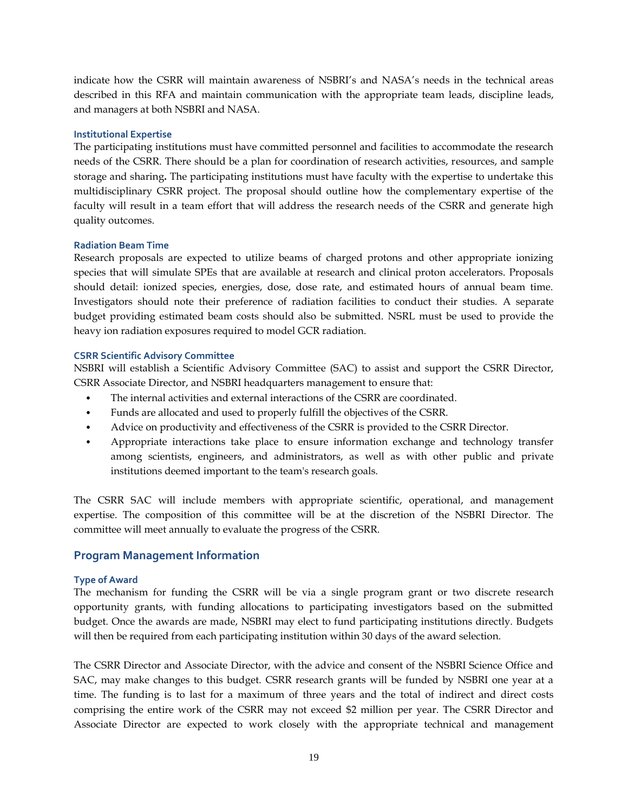indicate how the CSRR will maintain awareness of NSBRI's and NASA's needs in the technical areas described in this RFA and maintain communication with the appropriate team leads, discipline leads, and managers at both NSBRI and NASA.

### **Institutional Expertise**

The participating institutions must have committed personnel and facilities to accommodate the research needs of the CSRR. There should be a plan for coordination of research activities, resources, and sample storage and sharing**.** The participating institutions must have faculty with the expertise to undertake this multidisciplinary CSRR project. The proposal should outline how the complementary expertise of the faculty will result in a team effort that will address the research needs of the CSRR and generate high quality outcomes.

### **Radiation Beam Time**

Research proposals are expected to utilize beams of charged protons and other appropriate ionizing species that will simulate SPEs that are available at research and clinical proton accelerators. Proposals should detail: ionized species, energies, dose, dose rate, and estimated hours of annual beam time. Investigators should note their preference of radiation facilities to conduct their studies. A separate budget providing estimated beam costs should also be submitted. NSRL must be used to provide the heavy ion radiation exposures required to model GCR radiation.

### **CSRR Scientific Advisory Committee**

NSBRI will establish a Scientific Advisory Committee (SAC) to assist and support the CSRR Director, CSRR Associate Director, and NSBRI headquarters management to ensure that:

- The internal activities and external interactions of the CSRR are coordinated.
- Funds are allocated and used to properly fulfill the objectives of the CSRR.
- Advice on productivity and effectiveness of the CSRR is provided to the CSRR Director.
- Appropriate interactions take place to ensure information exchange and technology transfer among scientists, engineers, and administrators, as well as with other public and private institutions deemed important to the team's research goals.

The CSRR SAC will include members with appropriate scientific, operational, and management expertise. The composition of this committee will be at the discretion of the NSBRI Director. The committee will meet annually to evaluate the progress of the CSRR.

### **Program Management Information**

### **Type of Award**

The mechanism for funding the CSRR will be via a single program grant or two discrete research opportunity grants, with funding allocations to participating investigators based on the submitted budget. Once the awards are made, NSBRI may elect to fund participating institutions directly. Budgets will then be required from each participating institution within 30 days of the award selection.

The CSRR Director and Associate Director, with the advice and consent of the NSBRI Science Office and SAC, may make changes to this budget. CSRR research grants will be funded by NSBRI one year at a time. The funding is to last for a maximum of three years and the total of indirect and direct costs comprising the entire work of the CSRR may not exceed \$2 million per year. The CSRR Director and Associate Director are expected to work closely with the appropriate technical and management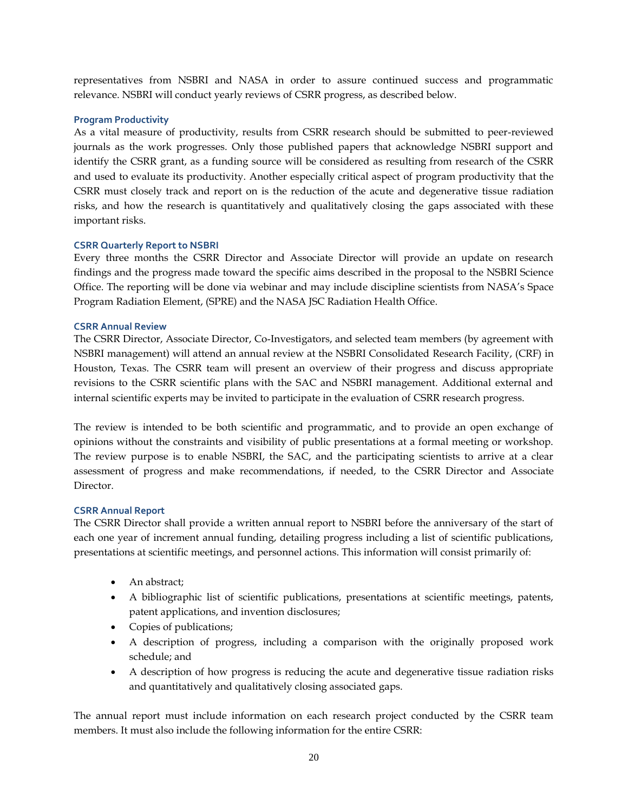representatives from NSBRI and NASA in order to assure continued success and programmatic relevance. NSBRI will conduct yearly reviews of CSRR progress, as described below.

### **Program Productivity**

As a vital measure of productivity, results from CSRR research should be submitted to peer-reviewed journals as the work progresses. Only those published papers that acknowledge NSBRI support and identify the CSRR grant, as a funding source will be considered as resulting from research of the CSRR and used to evaluate its productivity. Another especially critical aspect of program productivity that the CSRR must closely track and report on is the reduction of the acute and degenerative tissue radiation risks, and how the research is quantitatively and qualitatively closing the gaps associated with these important risks.

### **CSRR Quarterly Report to NSBRI**

Every three months the CSRR Director and Associate Director will provide an update on research findings and the progress made toward the specific aims described in the proposal to the NSBRI Science Office. The reporting will be done via webinar and may include discipline scientists from NASA's Space Program Radiation Element, (SPRE) and the NASA JSC Radiation Health Office.

### **CSRR Annual Review**

The CSRR Director, Associate Director, Co-Investigators, and selected team members (by agreement with NSBRI management) will attend an annual review at the NSBRI Consolidated Research Facility, (CRF) in Houston, Texas. The CSRR team will present an overview of their progress and discuss appropriate revisions to the CSRR scientific plans with the SAC and NSBRI management. Additional external and internal scientific experts may be invited to participate in the evaluation of CSRR research progress.

The review is intended to be both scientific and programmatic, and to provide an open exchange of opinions without the constraints and visibility of public presentations at a formal meeting or workshop. The review purpose is to enable NSBRI, the SAC, and the participating scientists to arrive at a clear assessment of progress and make recommendations, if needed, to the CSRR Director and Associate Director.

### **CSRR Annual Report**

The CSRR Director shall provide a written annual report to NSBRI before the anniversary of the start of each one year of increment annual funding, detailing progress including a list of scientific publications, presentations at scientific meetings, and personnel actions. This information will consist primarily of:

- An abstract;
- A bibliographic list of scientific publications, presentations at scientific meetings, patents, patent applications, and invention disclosures;
- Copies of publications;
- A description of progress, including a comparison with the originally proposed work schedule; and
- A description of how progress is reducing the acute and degenerative tissue radiation risks and quantitatively and qualitatively closing associated gaps.

The annual report must include information on each research project conducted by the CSRR team members. It must also include the following information for the entire CSRR: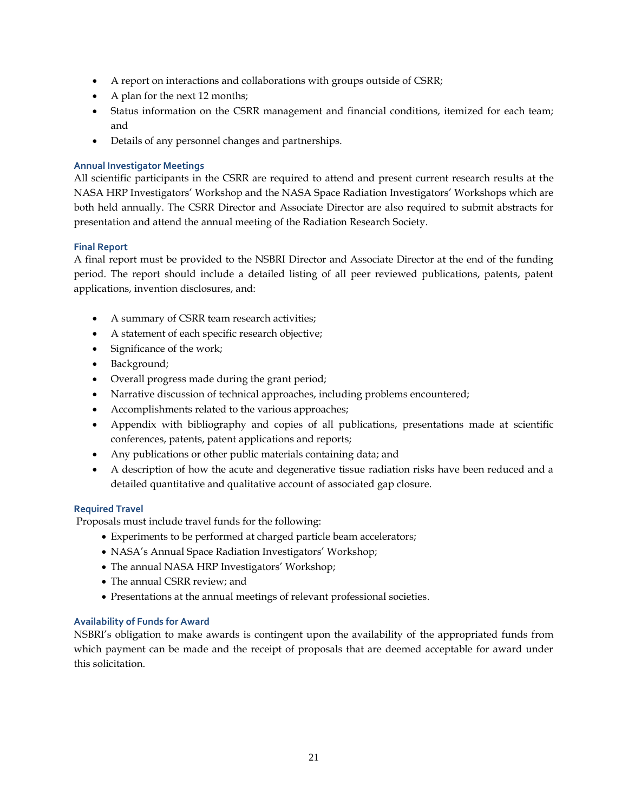- A report on interactions and collaborations with groups outside of CSRR;
- A plan for the next 12 months;
- Status information on the CSRR management and financial conditions, itemized for each team; and
- Details of any personnel changes and partnerships.

### **Annual Investigator Meetings**

All scientific participants in the CSRR are required to attend and present current research results at the NASA HRP Investigators' Workshop and the NASA Space Radiation Investigators' Workshops which are both held annually. The CSRR Director and Associate Director are also required to submit abstracts for presentation and attend the annual meeting of the Radiation Research Society.

### **Final Report**

A final report must be provided to the NSBRI Director and Associate Director at the end of the funding period. The report should include a detailed listing of all peer reviewed publications, patents, patent applications, invention disclosures, and:

- A summary of CSRR team research activities;
- A statement of each specific research objective;
- Significance of the work;
- Background;
- Overall progress made during the grant period;
- Narrative discussion of technical approaches, including problems encountered;
- Accomplishments related to the various approaches;
- Appendix with bibliography and copies of all publications, presentations made at scientific conferences, patents, patent applications and reports;
- Any publications or other public materials containing data; and
- A description of how the acute and degenerative tissue radiation risks have been reduced and a detailed quantitative and qualitative account of associated gap closure.

### **Required Travel**

Proposals must include travel funds for the following:

- Experiments to be performed at charged particle beam accelerators;
- NASA's Annual Space Radiation Investigators' Workshop;
- The annual NASA HRP Investigators' Workshop;
- The annual CSRR review; and
- Presentations at the annual meetings of relevant professional societies.

### **Availability of Funds for Award**

NSBRI's obligation to make awards is contingent upon the availability of the appropriated funds from which payment can be made and the receipt of proposals that are deemed acceptable for award under this solicitation.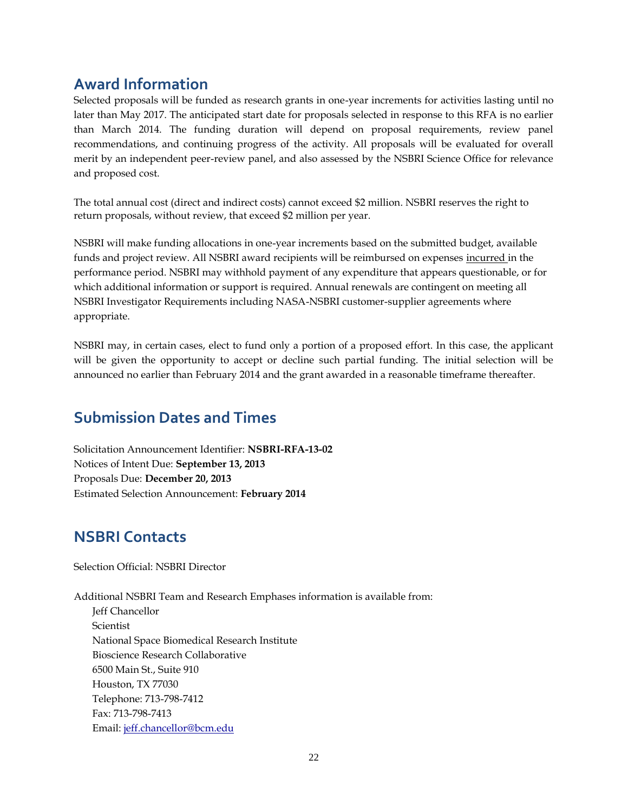### **Award Information**

Selected proposals will be funded as research grants in one-year increments for activities lasting until no later than May 2017. The anticipated start date for proposals selected in response to this RFA is no earlier than March 2014. The funding duration will depend on proposal requirements, review panel recommendations, and continuing progress of the activity. All proposals will be evaluated for overall merit by an independent peer-review panel, and also assessed by the NSBRI Science Office for relevance and proposed cost.

The total annual cost (direct and indirect costs) cannot exceed \$2 million. NSBRI reserves the right to return proposals, without review, that exceed \$2 million per year.

NSBRI will make funding allocations in one-year increments based on the submitted budget, available funds and project review. All NSBRI award recipients will be reimbursed on expenses incurred in the performance period. NSBRI may withhold payment of any expenditure that appears questionable, or for which additional information or support is required. Annual renewals are contingent on meeting all NSBRI Investigator Requirements including NASA-NSBRI customer-supplier agreements where appropriate.

NSBRI may, in certain cases, elect to fund only a portion of a proposed effort. In this case, the applicant will be given the opportunity to accept or decline such partial funding. The initial selection will be announced no earlier than February 2014 and the grant awarded in a reasonable timeframe thereafter.

### **Submission Dates and Times**

Solicitation Announcement Identifier: **NSBRI-RFA-13-02** Notices of Intent Due: **September 13, 2013** Proposals Due: **December 20, 2013** Estimated Selection Announcement: **February 2014**

## **NSBRI Contacts**

Selection Official: NSBRI Director

Additional NSBRI Team and Research Emphases information is available from: Jeff Chancellor Scientist National Space Biomedical Research Institute Bioscience Research Collaborative 6500 Main St., Suite 910 Houston, TX 77030 Telephone: 713-798-7412 Fax: 713-798-7413 Email: jeff.chancellor@bcm.edu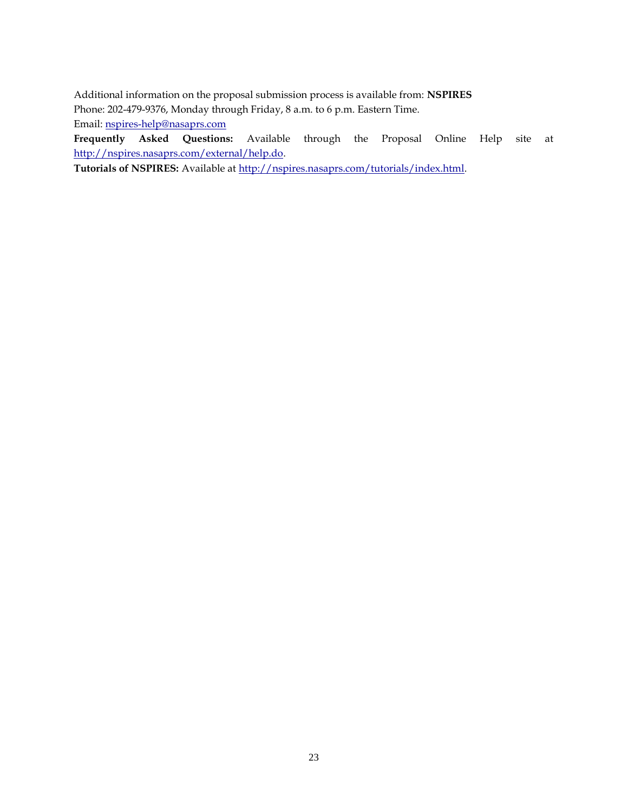Additional information on the proposal submission process is available from: **NSPIRES** Phone: 202-479-9376, Monday through Friday, 8 a.m. to 6 p.m. Eastern Time. Email: nspires-help@nasaprs.com

**Frequently Asked Questions:** Available through the Proposal Online Help site at http://nspires.nasaprs.com/external/help.do.

Tutorials of NSPIRES: Available at http://nspires.nasaprs.com/tutorials/index.html.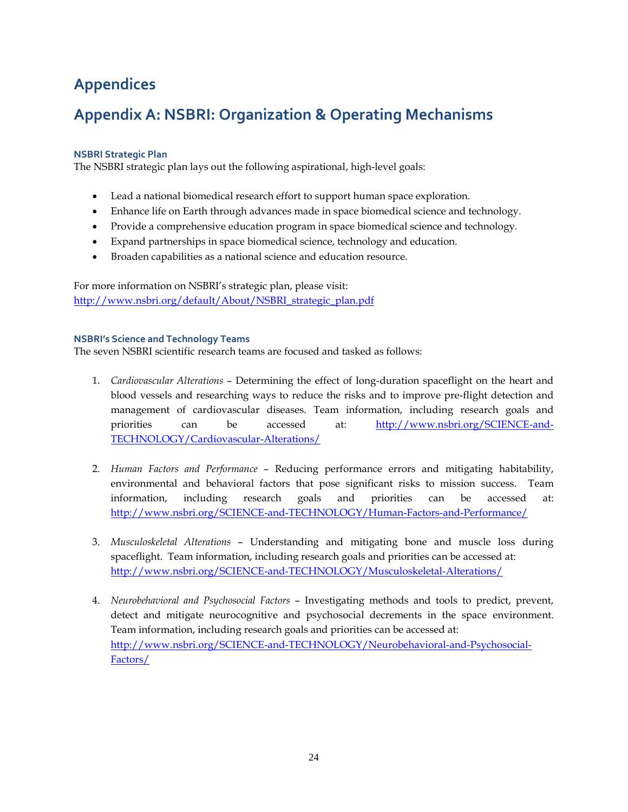## **Appendices**

## **Appendix A: NSBRI: Organization & Operating Mechanisms**

### **NSBRI Strategic Plan**

The NSBRI strategic plan lays out the following aspirational, high-level goals:

- Lead a national biomedical research effort to support human space exploration.
- Enhance life on Earth through advances made in space biomedical science and technology.
- Provide a comprehensive education program in space biomedical science and technology.
- Expand partnerships in space biomedical science, technology and education.
- Broaden capabilities as a national science and education resource.

For more information on NSBRI's strategic plan, please visit: [http://www.nsbri.org/default/About/NSBRI\\_strategic\\_plan.pdf](http://www.nsbri.org/default/About/NSBRI_strategic_plan.pdf)

### **NSBRI's Science and Technology Teams**

The seven NSBRI scientific research teams are focused and tasked as follows:

- 1. *Cardiovascular Alterations*  Determining the effect of long-duration spaceflight on the heart and blood vessels and researching ways to reduce the risks and to improve pre-flight detection and management of cardiovascular diseases. Team information, including research goals and priorities can be accessed at: [http://www.nsbri.org/SCIENCE-and-](http://www.nsbri.org/SCIENCE-and-TECHNOLOGY/Cardiovascular-Alterations/)[TECHNOLOGY/Cardiovascular-Alterations/](http://www.nsbri.org/SCIENCE-and-TECHNOLOGY/Cardiovascular-Alterations/)
- 2. *Human Factors and Performance*  Reducing performance errors and mitigating habitability, environmental and behavioral factors that pose significant risks to mission success. Team information, including research goals and priorities can be accessed at: <http://www.nsbri.org/SCIENCE-and-TECHNOLOGY/Human-Factors-and-Performance/>
- 3. *Musculoskeletal Alterations*  Understanding and mitigating bone and muscle loss during spaceflight. Team information, including research goals and priorities can be accessed at: <http://www.nsbri.org/SCIENCE-and-TECHNOLOGY/Musculoskeletal-Alterations/>
- 4. *Neurobehavioral and Psychosocial Factors*  Investigating methods and tools to predict, prevent, detect and mitigate neurocognitive and psychosocial decrements in the space environment. Team information, including research goals and priorities can be accessed at: [http://www.nsbri.org/SCIENCE-and-TECHNOLOGY/Neurobehavioral-and-Psychosocial-](http://www.nsbri.org/SCIENCE-and-TECHNOLOGY/Neurobehavioral-and-Psychosocial-Factors/)[Factors/](http://www.nsbri.org/SCIENCE-and-TECHNOLOGY/Neurobehavioral-and-Psychosocial-Factors/)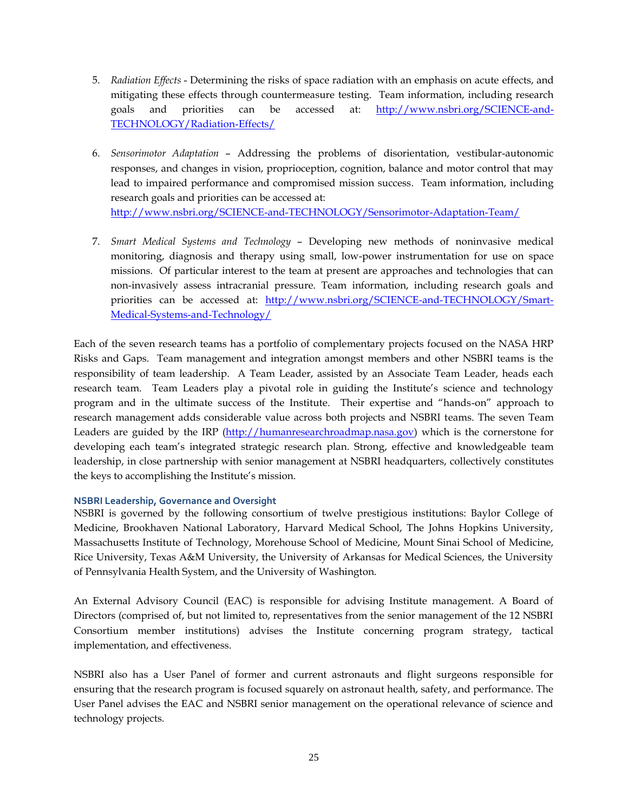- 5. *Radiation Effects*  Determining the risks of space radiation with an emphasis on acute effects, and mitigating these effects through countermeasure testing. Team information, including research goals and priorities can be accessed at: [http://www.nsbri.org/SCIENCE-and-](http://www.nsbri.org/SCIENCE-and-TECHNOLOGY/Radiation-Effects/)[TECHNOLOGY/Radiation-Effects/](http://www.nsbri.org/SCIENCE-and-TECHNOLOGY/Radiation-Effects/)
- 6. *Sensorimotor Adaptation*  Addressing the problems of disorientation, vestibular-autonomic responses, and changes in vision, proprioception, cognition, balance and motor control that may lead to impaired performance and compromised mission success. Team information, including research goals and priorities can be accessed at: <http://www.nsbri.org/SCIENCE-and-TECHNOLOGY/Sensorimotor-Adaptation-Team/>
- 7. *Smart Medical Systems and Technology*  Developing new methods of noninvasive medical monitoring, diagnosis and therapy using small, low-power instrumentation for use on space missions. Of particular interest to the team at present are approaches and technologies that can non-invasively assess intracranial pressure. Team information, including research goals and priorities can be accessed at: [http://www.nsbri.org/SCIENCE-and-TECHNOLOGY/Smart-](http://www.nsbri.org/SCIENCE-and-TECHNOLOGY/Smart-Medical-Systems-and-Technology/)[Medical-Systems-and-Technology/](http://www.nsbri.org/SCIENCE-and-TECHNOLOGY/Smart-Medical-Systems-and-Technology/)

Each of the seven research teams has a portfolio of complementary projects focused on the NASA HRP Risks and Gaps. Team management and integration amongst members and other NSBRI teams is the responsibility of team leadership. A Team Leader, assisted by an Associate Team Leader, heads each research team. Team Leaders play a pivotal role in guiding the Institute's science and technology program and in the ultimate success of the Institute. Their expertise and "hands-on" approach to research management adds considerable value across both projects and NSBRI teams. The seven Team Leaders are guided by the IRP [\(http://humanresearchroadmap.nasa.gov\)](http://humanresearchroadmap.nasa.gov/) which is the cornerstone for developing each team's integrated strategic research plan. Strong, effective and knowledgeable team leadership, in close partnership with senior management at NSBRI headquarters, collectively constitutes the keys to accomplishing the Institute's mission.

### **NSBRI Leadership, Governance and Oversight**

NSBRI is governed by the following consortium of twelve prestigious institutions: Baylor College of Medicine, Brookhaven National Laboratory, Harvard Medical School, The Johns Hopkins University, Massachusetts Institute of Technology, Morehouse School of Medicine, Mount Sinai School of Medicine, Rice University, Texas A&M University, the University of Arkansas for Medical Sciences, the University of Pennsylvania Health System, and the University of Washington.

An External Advisory Council (EAC) is responsible for advising Institute management. A Board of Directors (comprised of, but not limited to, representatives from the senior management of the 12 NSBRI Consortium member institutions) advises the Institute concerning program strategy, tactical implementation, and effectiveness.

NSBRI also has a User Panel of former and current astronauts and flight surgeons responsible for ensuring that the research program is focused squarely on astronaut health, safety, and performance. The User Panel advises the EAC and NSBRI senior management on the operational relevance of science and technology projects.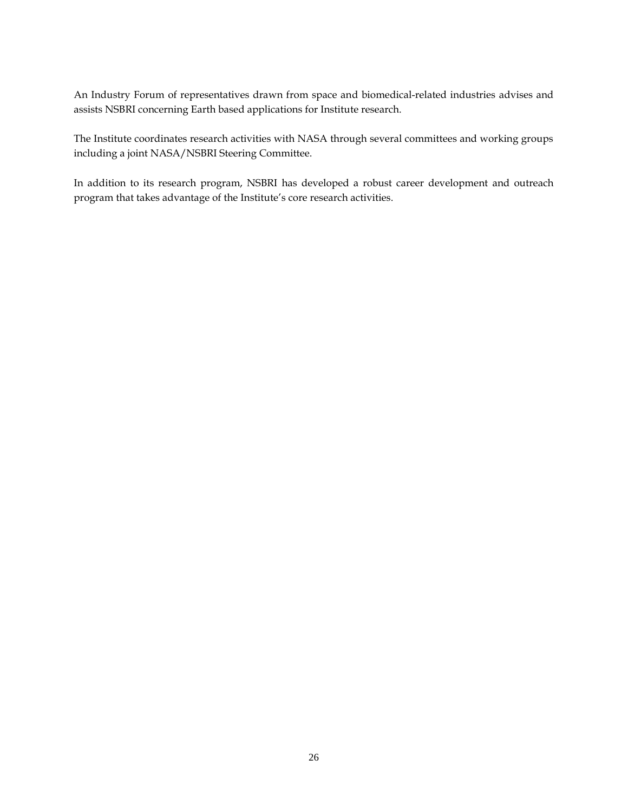An Industry Forum of representatives drawn from space and biomedical-related industries advises and assists NSBRI concerning Earth based applications for Institute research.

The Institute coordinates research activities with NASA through several committees and working groups including a joint NASA/NSBRI Steering Committee.

In addition to its research program, NSBRI has developed a robust career development and outreach program that takes advantage of the Institute's core research activities.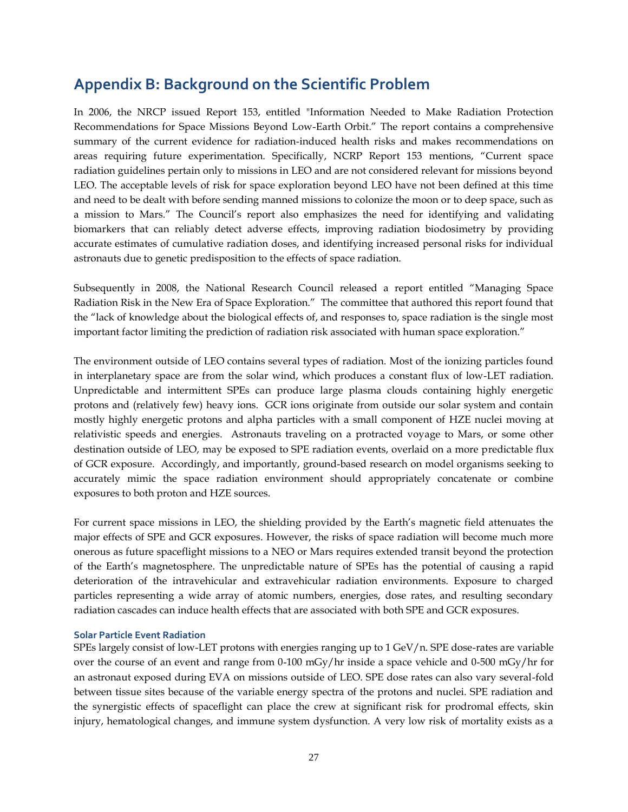### **Appendix B: Background on the Scientific Problem**

In 2006, the NRCP issued Report 153, entitled "Information Needed to Make Radiation Protection Recommendations for Space Missions Beyond Low-Earth Orbit." The report contains a comprehensive summary of the current evidence for radiation-induced health risks and makes recommendations on areas requiring future experimentation. Specifically, NCRP Report 153 mentions, "Current space radiation guidelines pertain only to missions in LEO and are not considered relevant for missions beyond LEO. The acceptable levels of risk for space exploration beyond LEO have not been defined at this time and need to be dealt with before sending manned missions to colonize the moon or to deep space, such as a mission to Mars." The Council's report also emphasizes the need for identifying and validating biomarkers that can reliably detect adverse effects, improving radiation biodosimetry by providing accurate estimates of cumulative radiation doses, and identifying increased personal risks for individual astronauts due to genetic predisposition to the effects of space radiation.

Subsequently in 2008, the National Research Council released a report entitled "Managing Space Radiation Risk in the New Era of Space Exploration." The committee that authored this report found that the "lack of knowledge about the biological effects of, and responses to, space radiation is the single most important factor limiting the prediction of radiation risk associated with human space exploration."

The environment outside of LEO contains several types of radiation. Most of the ionizing particles found in interplanetary space are from the solar wind, which produces a constant flux of low-LET radiation. Unpredictable and intermittent SPEs can produce large plasma clouds containing highly energetic protons and (relatively few) heavy ions. GCR ions originate from outside our solar system and contain mostly highly energetic protons and alpha particles with a small component of HZE nuclei moving at relativistic speeds and energies. Astronauts traveling on a protracted voyage to Mars, or some other destination outside of LEO, may be exposed to SPE radiation events, overlaid on a more predictable flux of GCR exposure. Accordingly, and importantly, ground-based research on model organisms seeking to accurately mimic the space radiation environment should appropriately concatenate or combine exposures to both proton and HZE sources.

For current space missions in LEO, the shielding provided by the Earth's magnetic field attenuates the major effects of SPE and GCR exposures. However, the risks of space radiation will become much more onerous as future spaceflight missions to a NEO or Mars requires extended transit beyond the protection of the Earth's magnetosphere. The unpredictable nature of SPEs has the potential of causing a rapid deterioration of the intravehicular and extravehicular radiation environments. Exposure to charged particles representing a wide array of atomic numbers, energies, dose rates, and resulting secondary radiation cascades can induce health effects that are associated with both SPE and GCR exposures.

#### **Solar Particle Event Radiation**

SPEs largely consist of low-LET protons with energies ranging up to  $1 \text{ GeV}/n$ . SPE dose-rates are variable over the course of an event and range from 0-100 mGy/hr inside a space vehicle and 0-500 mGy/hr for an astronaut exposed during EVA on missions outside of LEO. SPE dose rates can also vary several-fold between tissue sites because of the variable energy spectra of the protons and nuclei. SPE radiation and the synergistic effects of spaceflight can place the crew at significant risk for prodromal effects, skin injury, hematological changes, and immune system dysfunction. A very low risk of mortality exists as a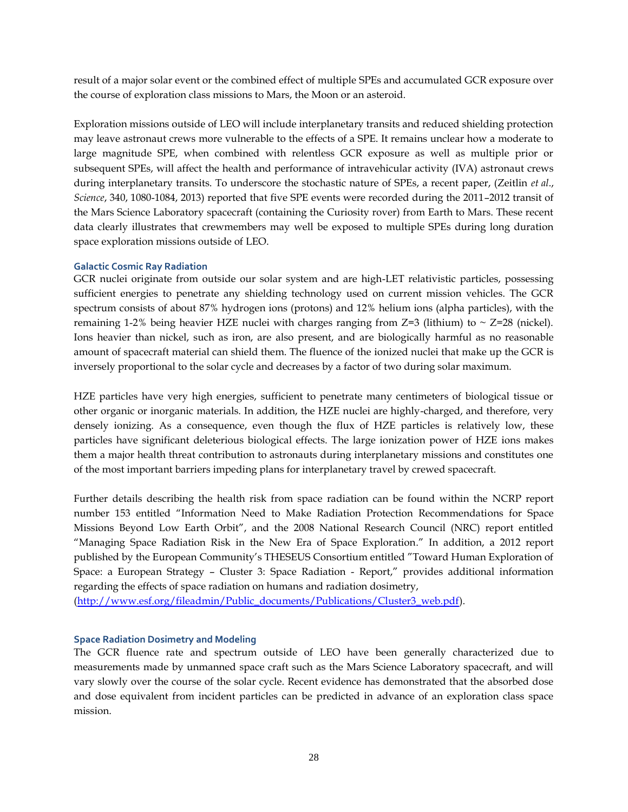result of a major solar event or the combined effect of multiple SPEs and accumulated GCR exposure over the course of exploration class missions to Mars, the Moon or an asteroid.

Exploration missions outside of LEO will include interplanetary transits and reduced shielding protection may leave astronaut crews more vulnerable to the effects of a SPE. It remains unclear how a moderate to large magnitude SPE, when combined with relentless GCR exposure as well as multiple prior or subsequent SPEs, will affect the health and performance of intravehicular activity (IVA) astronaut crews during interplanetary transits. To underscore the stochastic nature of SPEs, a recent paper, (Zeitlin *et al*., *Science*, 340, 1080-1084, 2013) reported that five SPE events were recorded during the 2011–2012 transit of the Mars Science Laboratory spacecraft (containing the Curiosity rover) from Earth to Mars. These recent data clearly illustrates that crewmembers may well be exposed to multiple SPEs during long duration space exploration missions outside of LEO.

### **Galactic Cosmic Ray Radiation**

GCR nuclei originate from outside our solar system and are high-LET relativistic particles, possessing sufficient energies to penetrate any shielding technology used on current mission vehicles. The GCR spectrum consists of about 87% hydrogen ions (protons) and 12% helium ions (alpha particles), with the remaining 1-2% being heavier HZE nuclei with charges ranging from  $Z=3$  (lithium) to  $\sim$  Z=28 (nickel). Ions heavier than nickel, such as iron, are also present, and are biologically harmful as no reasonable amount of spacecraft material can shield them. The fluence of the ionized nuclei that make up the GCR is inversely proportional to the solar cycle and decreases by a factor of two during solar maximum.

HZE particles have very high energies, sufficient to penetrate many centimeters of biological tissue or other organic or inorganic materials. In addition, the HZE nuclei are highly-charged, and therefore, very densely ionizing. As a consequence, even though the flux of HZE particles is relatively low, these particles have significant deleterious biological effects. The large ionization power of HZE ions makes them a major health threat contribution to astronauts during interplanetary missions and constitutes one of the most important barriers impeding plans for interplanetary travel by crewed spacecraft.

Further details describing the health risk from space radiation can be found within the NCRP report number 153 entitled "Information Need to Make Radiation Protection Recommendations for Space Missions Beyond Low Earth Orbit", and the 2008 National Research Council (NRC) report entitled "Managing Space Radiation Risk in the New Era of Space Exploration." In addition, a 2012 report published by the European Community's THESEUS Consortium entitled "Toward Human Exploration of Space: a European Strategy – Cluster 3: Space Radiation - Report," provides additional information regarding the effects of space radiation on humans and radiation dosimetry,

[\(http://www.esf.org/fileadmin/Public\\_documents/Publications/Cluster3\\_web.pdf\)](http://www.esf.org/fileadmin/Public_documents/Publications/Cluster3_web.pdf).

### **Space Radiation Dosimetry and Modeling**

The GCR fluence rate and spectrum outside of LEO have been generally characterized due to measurements made by unmanned space craft such as the Mars Science Laboratory spacecraft, and will vary slowly over the course of the solar cycle. Recent evidence has demonstrated that the absorbed dose and dose equivalent from incident particles can be predicted in advance of an exploration class space mission.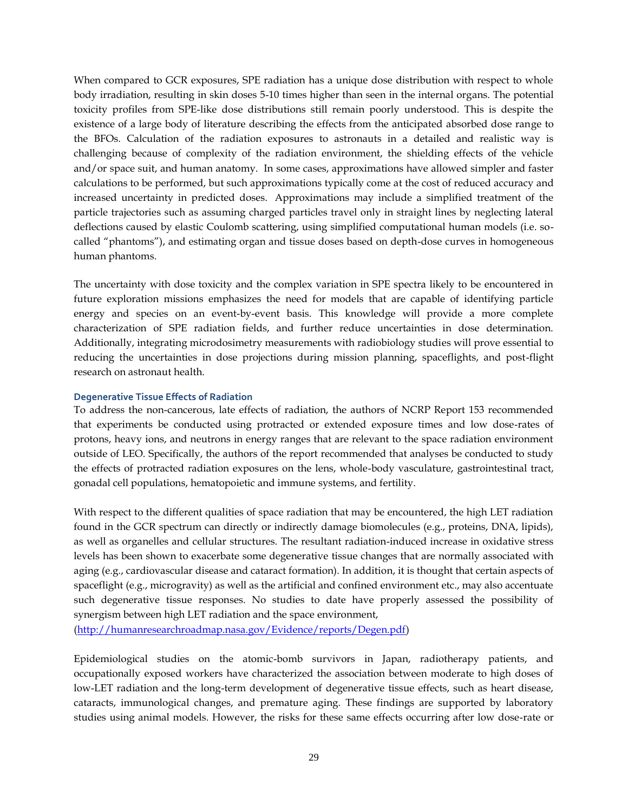When compared to GCR exposures, SPE radiation has a unique dose distribution with respect to whole body irradiation, resulting in skin doses 5-10 times higher than seen in the internal organs. The potential toxicity profiles from SPE-like dose distributions still remain poorly understood. This is despite the existence of a large body of literature describing the effects from the anticipated absorbed dose range to the BFOs. Calculation of the radiation exposures to astronauts in a detailed and realistic way is challenging because of complexity of the radiation environment, the shielding effects of the vehicle and/or space suit, and human anatomy. In some cases, approximations have allowed simpler and faster calculations to be performed, but such approximations typically come at the cost of reduced accuracy and increased uncertainty in predicted doses. Approximations may include a simplified treatment of the particle trajectories such as assuming charged particles travel only in straight lines by neglecting lateral deflections caused by elastic Coulomb scattering, using simplified computational human models (i.e. socalled "phantoms"), and estimating organ and tissue doses based on depth-dose curves in homogeneous human phantoms.

The uncertainty with dose toxicity and the complex variation in SPE spectra likely to be encountered in future exploration missions emphasizes the need for models that are capable of identifying particle energy and species on an event-by-event basis. This knowledge will provide a more complete characterization of SPE radiation fields, and further reduce uncertainties in dose determination. Additionally, integrating microdosimetry measurements with radiobiology studies will prove essential to reducing the uncertainties in dose projections during mission planning, spaceflights, and post-flight research on astronaut health.

### **Degenerative Tissue Effects of Radiation**

To address the non-cancerous, late effects of radiation, the authors of NCRP Report 153 recommended that experiments be conducted using protracted or extended exposure times and low dose-rates of protons, heavy ions, and neutrons in energy ranges that are relevant to the space radiation environment outside of LEO. Specifically, the authors of the report recommended that analyses be conducted to study the effects of protracted radiation exposures on the lens, whole-body vasculature, gastrointestinal tract, gonadal cell populations, hematopoietic and immune systems, and fertility.

With respect to the different qualities of space radiation that may be encountered, the high LET radiation found in the GCR spectrum can directly or indirectly damage biomolecules (e.g., proteins, DNA, lipids), as well as organelles and cellular structures. The resultant radiation-induced increase in oxidative stress levels has been shown to exacerbate some degenerative tissue changes that are normally associated with aging (e.g., cardiovascular disease and cataract formation). In addition, it is thought that certain aspects of spaceflight (e.g., microgravity) as well as the artificial and confined environment etc., may also accentuate such degenerative tissue responses. No studies to date have properly assessed the possibility of synergism between high LET radiation and the space environment,

[\(http://humanresearchroadmap.nasa.gov/Evidence/reports/Degen.pdf\)](http://humanresearchroadmap.nasa.gov/Evidence/reports/Degen.pdf)

Epidemiological studies on the atomic-bomb survivors in Japan, radiotherapy patients, and occupationally exposed workers have characterized the association between moderate to high doses of low-LET radiation and the long-term development of degenerative tissue effects, such as heart disease, cataracts, immunological changes, and premature aging. These findings are supported by laboratory studies using animal models. However, the risks for these same effects occurring after low dose-rate or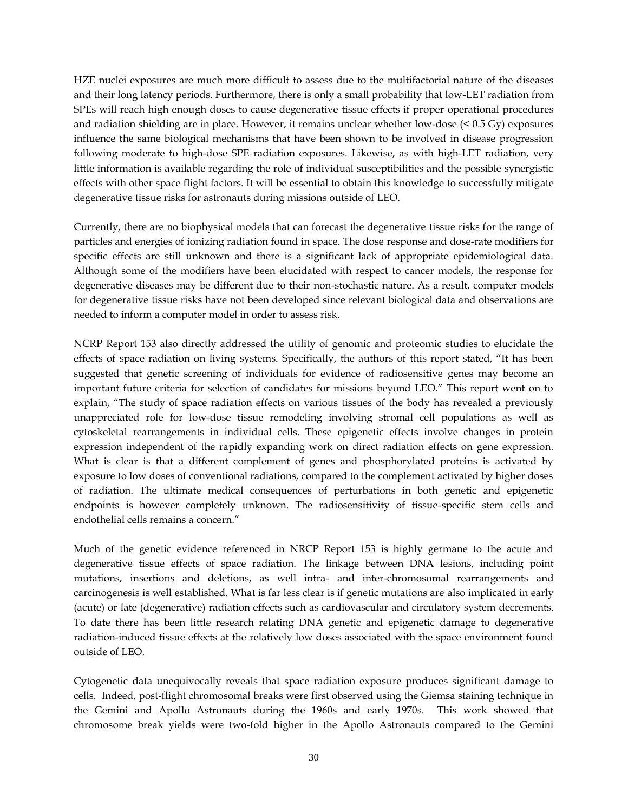HZE nuclei exposures are much more difficult to assess due to the multifactorial nature of the diseases and their long latency periods. Furthermore, there is only a small probability that low-LET radiation from SPEs will reach high enough doses to cause degenerative tissue effects if proper operational procedures and radiation shielding are in place. However, it remains unclear whether low-dose (< 0.5 Gy) exposures influence the same biological mechanisms that have been shown to be involved in disease progression following moderate to high-dose SPE radiation exposures. Likewise, as with high-LET radiation, very little information is available regarding the role of individual susceptibilities and the possible synergistic effects with other space flight factors. It will be essential to obtain this knowledge to successfully mitigate degenerative tissue risks for astronauts during missions outside of LEO.

Currently, there are no biophysical models that can forecast the degenerative tissue risks for the range of particles and energies of ionizing radiation found in space. The dose response and dose-rate modifiers for specific effects are still unknown and there is a significant lack of appropriate epidemiological data. Although some of the modifiers have been elucidated with respect to cancer models, the response for degenerative diseases may be different due to their non-stochastic nature. As a result, computer models for degenerative tissue risks have not been developed since relevant biological data and observations are needed to inform a computer model in order to assess risk.

NCRP Report 153 also directly addressed the utility of genomic and proteomic studies to elucidate the effects of space radiation on living systems. Specifically, the authors of this report stated, "It has been suggested that genetic screening of individuals for evidence of radiosensitive genes may become an important future criteria for selection of candidates for missions beyond LEO." This report went on to explain, "The study of space radiation effects on various tissues of the body has revealed a previously unappreciated role for low-dose tissue remodeling involving stromal cell populations as well as cytoskeletal rearrangements in individual cells. These epigenetic effects involve changes in protein expression independent of the rapidly expanding work on direct radiation effects on gene expression. What is clear is that a different complement of genes and phosphorylated proteins is activated by exposure to low doses of conventional radiations, compared to the complement activated by higher doses of radiation. The ultimate medical consequences of perturbations in both genetic and epigenetic endpoints is however completely unknown. The radiosensitivity of tissue-specific stem cells and endothelial cells remains a concern."

Much of the genetic evidence referenced in NRCP Report 153 is highly germane to the acute and degenerative tissue effects of space radiation. The linkage between DNA lesions, including point mutations, insertions and deletions, as well intra- and inter-chromosomal rearrangements and carcinogenesis is well established. What is far less clear is if genetic mutations are also implicated in early (acute) or late (degenerative) radiation effects such as cardiovascular and circulatory system decrements. To date there has been little research relating DNA genetic and epigenetic damage to degenerative radiation-induced tissue effects at the relatively low doses associated with the space environment found outside of LEO.

Cytogenetic data unequivocally reveals that space radiation exposure produces significant damage to cells. Indeed, post-flight chromosomal breaks were first observed using the Giemsa staining technique in the Gemini and Apollo Astronauts during the 1960s and early 1970s. This work showed that chromosome break yields were two-fold higher in the Apollo Astronauts compared to the Gemini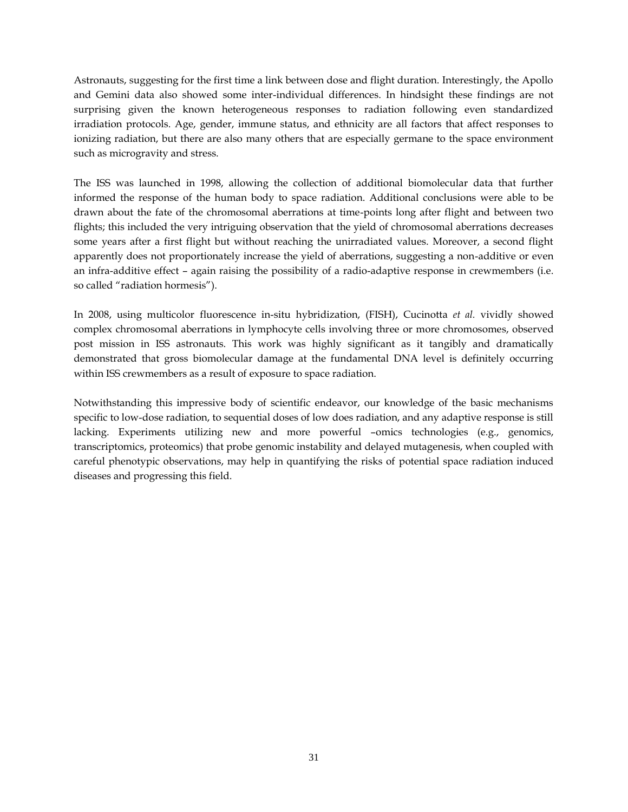Astronauts, suggesting for the first time a link between dose and flight duration. Interestingly, the Apollo and Gemini data also showed some inter-individual differences. In hindsight these findings are not surprising given the known heterogeneous responses to radiation following even standardized irradiation protocols. Age, gender, immune status, and ethnicity are all factors that affect responses to ionizing radiation, but there are also many others that are especially germane to the space environment such as microgravity and stress.

The ISS was launched in 1998, allowing the collection of additional biomolecular data that further informed the response of the human body to space radiation. Additional conclusions were able to be drawn about the fate of the chromosomal aberrations at time-points long after flight and between two flights; this included the very intriguing observation that the yield of chromosomal aberrations decreases some years after a first flight but without reaching the unirradiated values. Moreover, a second flight apparently does not proportionately increase the yield of aberrations, suggesting a non-additive or even an infra-additive effect – again raising the possibility of a radio-adaptive response in crewmembers (i.e. so called "radiation hormesis").

In 2008, using multicolor fluorescence in-situ hybridization, (FISH), Cucinotta *et al.* vividly showed complex chromosomal aberrations in lymphocyte cells involving three or more chromosomes, observed post mission in ISS astronauts. This work was highly significant as it tangibly and dramatically demonstrated that gross biomolecular damage at the fundamental DNA level is definitely occurring within ISS crewmembers as a result of exposure to space radiation.

Notwithstanding this impressive body of scientific endeavor, our knowledge of the basic mechanisms specific to low-dose radiation, to sequential doses of low does radiation, and any adaptive response is still lacking. Experiments utilizing new and more powerful –omics technologies (e.g., genomics, transcriptomics, proteomics) that probe genomic instability and delayed mutagenesis, when coupled with careful phenotypic observations, may help in quantifying the risks of potential space radiation induced diseases and progressing this field.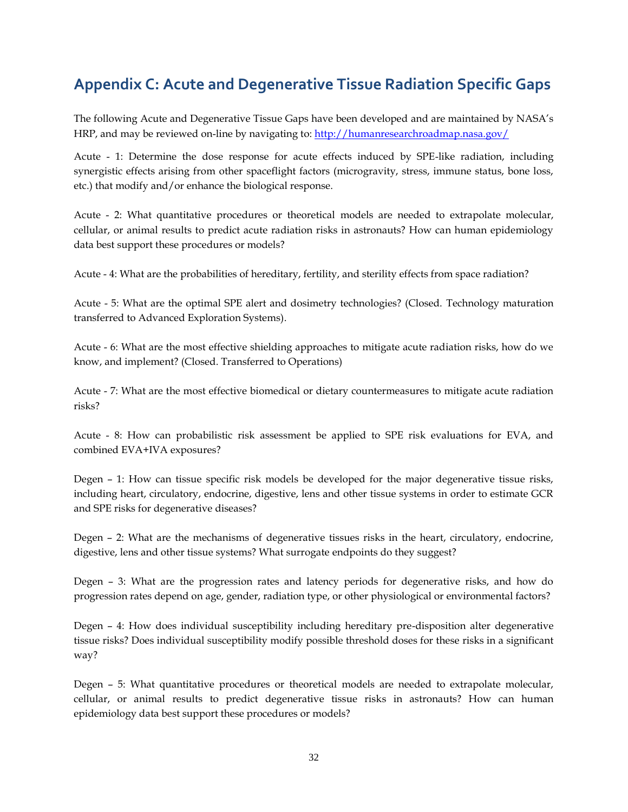## **Appendix C: Acute and Degenerative Tissue Radiation Specific Gaps**

The following Acute and Degenerative Tissue Gaps have been developed and are maintained by NASA's HRP, and may be reviewed on-line by navigating to:<http://humanresearchroadmap.nasa.gov/>

Acute - 1: Determine the dose response for acute effects induced by SPE-like radiation, including synergistic effects arising from other spaceflight factors (microgravity, stress, immune status, bone loss, etc.) that modify and/or enhance the biological response.

Acute - [2: What quantitative procedures or theoretical models are needed to extrapolate molecular,](http://humanresearchroadmap.nasa.gov/Gaps/?i=356)  [cellular, or animal results to predict acute radiation risks in astronauts? How can human epidemiology](http://humanresearchroadmap.nasa.gov/Gaps/?i=356)  [data best support these procedures or models?](http://humanresearchroadmap.nasa.gov/Gaps/?i=356)

Acute - [4: What are the probabilities of hereditary, fertility, and sterility effects from space radiation?](http://humanresearchroadmap.nasa.gov/Gaps/?i=358)

Acute - [5: What are the optimal SPE alert and dosimetry technologies? \(Closed. Technology maturation](http://humanresearchroadmap.nasa.gov/Gaps/?i=359)  [transferred to Advanced Exploration Systems\).](http://humanresearchroadmap.nasa.gov/Gaps/?i=359)

Acute - [6: What are the most effective shielding approaches to mitigate acute radiation risks, how do we](http://humanresearchroadmap.nasa.gov/Gaps/?i=360)  [know, and implement? \(Closed. Transferred to Operations\)](http://humanresearchroadmap.nasa.gov/Gaps/?i=360)

Acute - [7: What are the most effective biomedical or dietary countermeasures to mitigate acute radiation](http://humanresearchroadmap.nasa.gov/Gaps/?i=361)  [risks?](http://humanresearchroadmap.nasa.gov/Gaps/?i=361)

Acute - [8: How can probabilistic risk assessment be applied to SPE risk evaluations for EVA, and](http://humanresearchroadmap.nasa.gov/Gaps/?i=362)  [combined EVA+IVA exposures?](http://humanresearchroadmap.nasa.gov/Gaps/?i=362)

Degen – [1: How can tissue specific risk models be developed for the major degenerative tissue risks,](http://humanresearchroadmap.nasa.gov/Gaps/?i=373)  [including heart, circulatory, endocrine, digestive, lens and other tissue systems in order to estimate GCR](http://humanresearchroadmap.nasa.gov/Gaps/?i=373)  [and SPE risks for degenerative diseases?](http://humanresearchroadmap.nasa.gov/Gaps/?i=373)

Degen – [2: What are the mechanisms of degenerative tissues risks in the heart, circulatory, endocrine,](http://humanresearchroadmap.nasa.gov/Gaps/?i=374)  [digestive, lens and other tissue systems? What surrogate endpoints do they suggest?](http://humanresearchroadmap.nasa.gov/Gaps/?i=374)

Degen – [3: What are the progression rates and latency periods for degenerative risks, and how do](http://humanresearchroadmap.nasa.gov/Gaps/?i=377)  [progression rates depend on age, gender, radiation type, or other physiological or environmental factors?](http://humanresearchroadmap.nasa.gov/Gaps/?i=377)

Degen – [4: How does individual susceptibility including hereditary pre-disposition alter degenerative](http://humanresearchroadmap.nasa.gov/Gaps/?i=379)  [tissue risks? Does individual susceptibility modify possible threshold doses for these risks in a significant](http://humanresearchroadmap.nasa.gov/Gaps/?i=379)  [way?](http://humanresearchroadmap.nasa.gov/Gaps/?i=379)

Degen – [5: What quantitative procedures or theoretical models are needed to extrapolate molecular,](http://humanresearchroadmap.nasa.gov/Gaps/?i=381)  [cellular, or animal results to predict degenerative tissue risks in astronauts? How can human](http://humanresearchroadmap.nasa.gov/Gaps/?i=381)  [epidemiology data best support these procedures or models?](http://humanresearchroadmap.nasa.gov/Gaps/?i=381)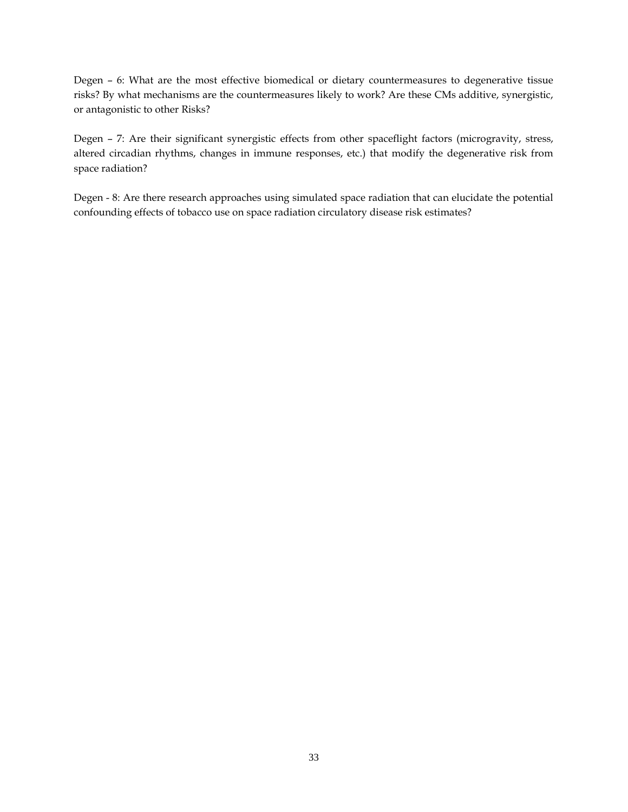Degen – [6: What are the most effective biomedical or dietary countermeasures to degenerative tissue](http://humanresearchroadmap.nasa.gov/Gaps/?i=382)  [risks? By what mechanisms are the countermeasures likely to work? Are these CMs additive, synergistic,](http://humanresearchroadmap.nasa.gov/Gaps/?i=382)  [or antagonistic to other Risks?](http://humanresearchroadmap.nasa.gov/Gaps/?i=382)

Degen – [7: Are their significant synergistic effects from other spaceflight factors \(microgravity, stress,](http://humanresearchroadmap.nasa.gov/Gaps/?i=383)  [altered circadian rhythms, changes in immune responses, etc.\) that modify the degenerative risk from](http://humanresearchroadmap.nasa.gov/Gaps/?i=383)  [space radiation?](http://humanresearchroadmap.nasa.gov/Gaps/?i=383)

Degen - 8: Are there [research approaches using simulated space radiation that can elucidate the potential](http://humanresearchroadmap.nasa.gov/Gaps/?i=535)  [confounding effects of tobacco use on space radiation circulatory disease risk estimates?](http://humanresearchroadmap.nasa.gov/Gaps/?i=535)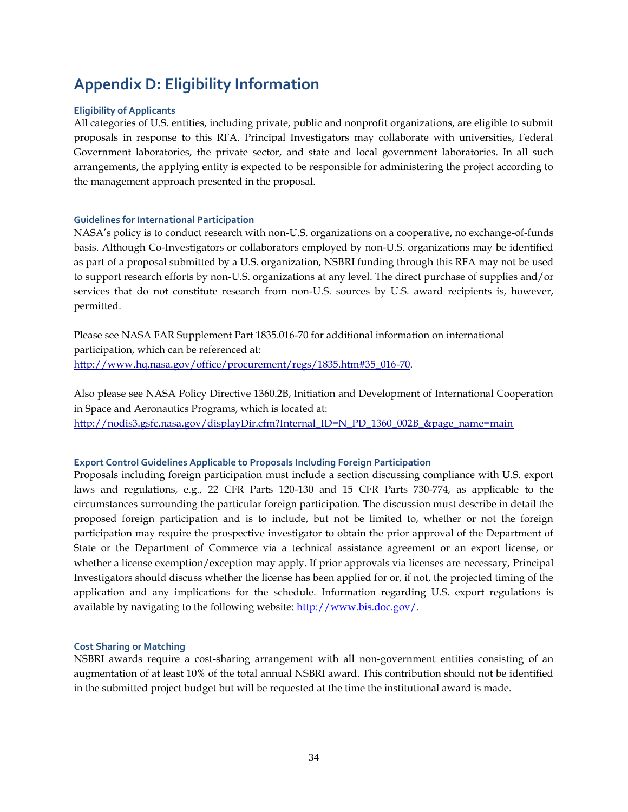## **Appendix D: Eligibility Information**

### **Eligibility of Applicants**

All categories of U.S. entities, including private, public and nonprofit organizations, are eligible to submit proposals in response to this RFA. Principal Investigators may collaborate with universities, Federal Government laboratories, the private sector, and state and local government laboratories. In all such arrangements, the applying entity is expected to be responsible for administering the project according to the management approach presented in the proposal.

### **Guidelines for International Participation**

NASA's policy is to conduct research with non-U.S. organizations on a cooperative, no exchange-of-funds basis. Although Co-Investigators or collaborators employed by non-U.S. organizations may be identified as part of a proposal submitted by a U.S. organization, NSBRI funding through this RFA may not be used to support research efforts by non-U.S. organizations at any level. The direct purchase of supplies and/or services that do not constitute research from non-U.S. sources by U.S. award recipients is, however, permitted.

Please see NASA FAR Supplement Part 1835.016-70 for additional information on international participation, which can be referenced at: http://www.hq.nasa.gov/office/procurement/regs/1835.htm#35\_016-70.

Also please see NASA Policy Directive 1360.2B, Initiation and Development of International Cooperation in Space and Aeronautics Programs, which is located at: http://nodis3.gsfc.nasa.gov/displayDir.cfm?Internal\_ID=N\_PD\_1360\_002B\_&page\_name=main

### **Export Control Guidelines Applicable to Proposals Including Foreign Participation**

Proposals including foreign participation must include a section discussing compliance with U.S. export laws and regulations, e.g., 22 CFR Parts 120-130 and 15 CFR Parts 730-774, as applicable to the circumstances surrounding the particular foreign participation. The discussion must describe in detail the proposed foreign participation and is to include, but not be limited to, whether or not the foreign participation may require the prospective investigator to obtain the prior approval of the Department of State or the Department of Commerce via a technical assistance agreement or an export license, or whether a license exemption/exception may apply. If prior approvals via licenses are necessary, Principal Investigators should discuss whether the license has been applied for or, if not, the projected timing of the application and any implications for the schedule. Information regarding U.S. export regulations is available by navigating to the following website: [http://www.bis.doc.gov/.](http://www.bis.doc.gov/)

### **Cost Sharing or Matching**

NSBRI awards require a cost-sharing arrangement with all non-government entities consisting of an augmentation of at least 10% of the total annual NSBRI award. This contribution should not be identified in the submitted project budget but will be requested at the time the institutional award is made.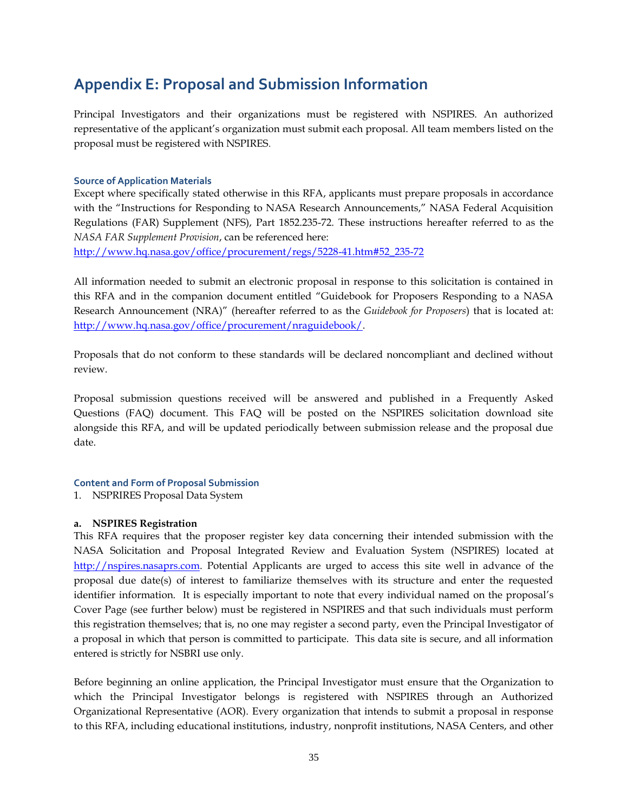### **Appendix E: Proposal and Submission Information**

Principal Investigators and their organizations must be registered with NSPIRES. An authorized representative of the applicant's organization must submit each proposal. All team members listed on the proposal must be registered with NSPIRES.

### **Source of Application Materials**

Except where specifically stated otherwise in this RFA, applicants must prepare proposals in accordance with the "Instructions for Responding to NASA Research Announcements," NASA Federal Acquisition Regulations (FAR) Supplement (NFS), Part 1852.235-72. These instructions hereafter referred to as the *NASA FAR Supplement Provision*, can be referenced here:

[http://www.hq.nasa.gov/office/procurement/regs/5228-41.htm#52\\_235-72](http://www.hq.nasa.gov/office/procurement/regs/5228-41.htm#52_235-72)

All information needed to submit an electronic proposal in response to this solicitation is contained in this RFA and in the companion document entitled "Guidebook for Proposers Responding to a NASA Research Announcement (NRA)" (hereafter referred to as the *Guidebook for Proposers*) that is located at: http://www.hq.nasa.gov/office/procurement/nraguidebook/.

Proposals that do not conform to these standards will be declared noncompliant and declined without review.

Proposal submission questions received will be answered and published in a Frequently Asked Questions (FAQ) document. This FAQ will be posted on the NSPIRES solicitation download site alongside this RFA, and will be updated periodically between submission release and the proposal due date.

### **Content and Form of Proposal Submission**

1. NSPRIRES Proposal Data System

### **a. NSPIRES Registration**

This RFA requires that the proposer register key data concerning their intended submission with the NASA Solicitation and Proposal Integrated Review and Evaluation System (NSPIRES) located at http://nspires.nasaprs.com. Potential Applicants are urged to access this site well in advance of the proposal due date(s) of interest to familiarize themselves with its structure and enter the requested identifier information. It is especially important to note that every individual named on the proposal's Cover Page (see further below) must be registered in NSPIRES and that such individuals must perform this registration themselves; that is, no one may register a second party, even the Principal Investigator of a proposal in which that person is committed to participate. This data site is secure, and all information entered is strictly for NSBRI use only.

Before beginning an online application, the Principal Investigator must ensure that the Organization to which the Principal Investigator belongs is registered with NSPIRES through an Authorized Organizational Representative (AOR). Every organization that intends to submit a proposal in response to this RFA, including educational institutions, industry, nonprofit institutions, NASA Centers, and other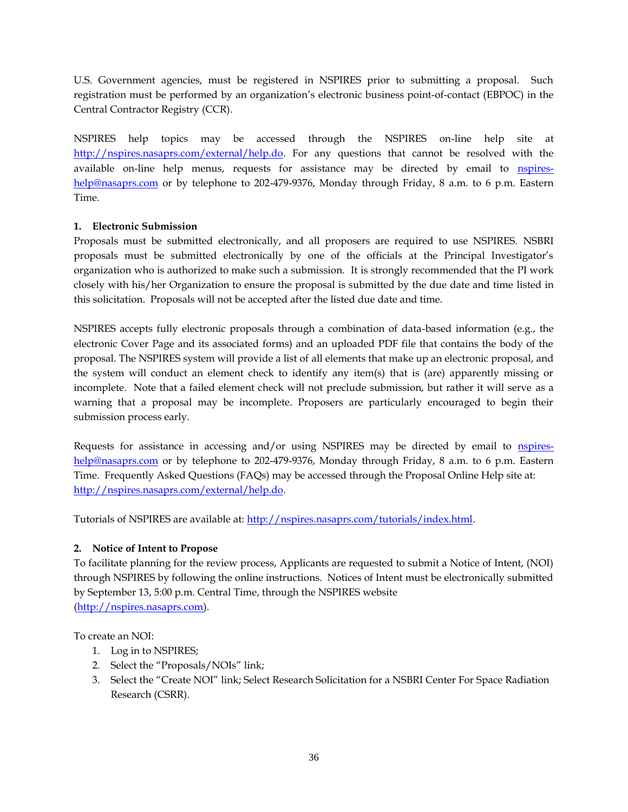U.S. Government agencies, must be registered in NSPIRES prior to submitting a proposal. Such registration must be performed by an organization's electronic business point-of-contact (EBPOC) in the Central Contractor Registry (CCR).

NSPIRES help topics may be accessed through the NSPIRES on-line help site at http://nspires.nasaprs.com/external/help.do. For any questions that cannot be resolved with the available on-line help menus, requests for assistance may be directed by email to nspireshelp@nasaprs.com or by telephone to 202-479-9376, Monday through Friday, 8 a.m. to 6 p.m. Eastern Time.

### **1. Electronic Submission**

Proposals must be submitted electronically, and all proposers are required to use NSPIRES. NSBRI proposals must be submitted electronically by one of the officials at the Principal Investigator's organization who is authorized to make such a submission. It is strongly recommended that the PI work closely with his/her Organization to ensure the proposal is submitted by the due date and time listed in this solicitation. Proposals will not be accepted after the listed due date and time.

NSPIRES accepts fully electronic proposals through a combination of data-based information (e.g., the electronic Cover Page and its associated forms) and an uploaded PDF file that contains the body of the proposal. The NSPIRES system will provide a list of all elements that make up an electronic proposal, and the system will conduct an element check to identify any item(s) that is (are) apparently missing or incomplete. Note that a failed element check will not preclude submission, but rather it will serve as a warning that a proposal may be incomplete. Proposers are particularly encouraged to begin their submission process early.

Requests for assistance in accessing and/or using NSPIRES may be directed by email to nspireshelp@nasaprs.com or by telephone to 202-479-9376, Monday through Friday, 8 a.m. to 6 p.m. Eastern Time. Frequently Asked Questions (FAQs) may be accessed through the Proposal Online Help site at: [http://nspires.nasaprs.com/external/help.do.](http://nspires.nasaprs.com/external/help.do)

Tutorials of NSPIRES are available at: http://nspires.nasaprs.com/tutorials/index.html.

### **2. Notice of Intent to Propose**

To facilitate planning for the review process, Applicants are requested to submit a Notice of Intent, (NOI) through NSPIRES by following the online instructions. Notices of Intent must be electronically submitted by September 13, 5:00 p.m. Central Time, through the NSPIRES website (http://nspires.nasaprs.com).

To create an NOI:

- 1. Log in to NSPIRES;
- 2. Select the "Proposals/NOIs" link;
- 3. Select the "Create NOI" link; Select Research Solicitation for a NSBRI Center For Space Radiation Research (CSRR).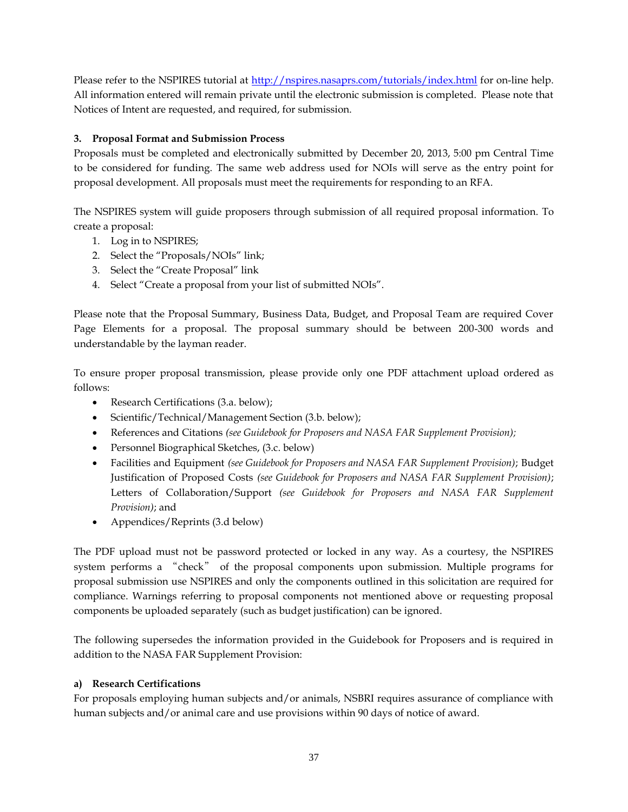Please refer to the NSPIRES tutorial at http://nspires.nasaprs.com/tutorials/index.html for on-line help. All information entered will remain private until the electronic submission is completed. Please note that Notices of Intent are requested, and required, for submission.

### **3. Proposal Format and Submission Process**

Proposals must be completed and electronically submitted by December 20, 2013, 5:00 pm Central Time to be considered for funding. The same web address used for NOIs will serve as the entry point for proposal development. All proposals must meet the requirements for responding to an RFA.

The NSPIRES system will guide proposers through submission of all required proposal information. To create a proposal:

- 1. Log in to NSPIRES;
- 2. Select the "Proposals/NOIs" link;
- 3. Select the "Create Proposal" link
- 4. Select "Create a proposal from your list of submitted NOIs".

Please note that the Proposal Summary, Business Data, Budget, and Proposal Team are required Cover Page Elements for a proposal. The proposal summary should be between 200-300 words and understandable by the layman reader.

To ensure proper proposal transmission, please provide only one PDF attachment upload ordered as follows:

- Research Certifications (3.a. below);
- Scientific/Technical/Management Section (3.b. below);
- References and Citations *(see Guidebook for Proposers and NASA FAR Supplement Provision);*
- Personnel Biographical Sketches, (3.c. below)
- Facilities and Equipment *(see Guidebook for Proposers and NASA FAR Supplement Provision)*; Budget Justification of Proposed Costs *(see Guidebook for Proposers and NASA FAR Supplement Provision)*; Letters of Collaboration/Support *(see Guidebook for Proposers and NASA FAR Supplement Provision)*; and
- Appendices/Reprints (3.d below)

The PDF upload must not be password protected or locked in any way. As a courtesy, the NSPIRES system performs a "check" of the proposal components upon submission. Multiple programs for proposal submission use NSPIRES and only the components outlined in this solicitation are required for compliance. Warnings referring to proposal components not mentioned above or requesting proposal components be uploaded separately (such as budget justification) can be ignored.

The following supersedes the information provided in the Guidebook for Proposers and is required in addition to the NASA FAR Supplement Provision:

### **a) Research Certifications**

For proposals employing human subjects and/or animals, NSBRI requires assurance of compliance with human subjects and/or animal care and use provisions within 90 days of notice of award.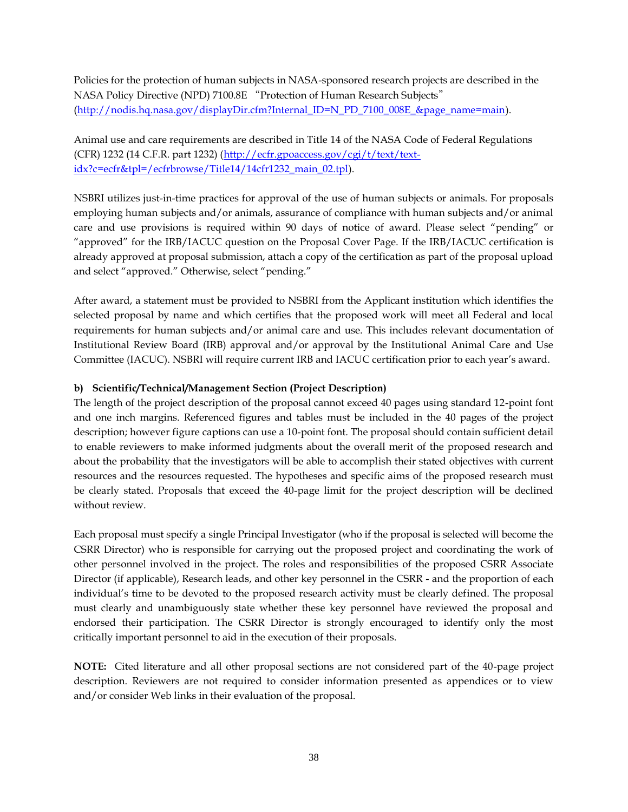Policies for the protection of human subjects in NASA-sponsored research projects are described in the NASA Policy Directive (NPD) 7100.8E "Protection of Human Research Subjects" (http://nodis.hq.nasa.gov/displayDir.cfm?Internal\_ID=N\_PD\_7100\_008E\_&page\_name=main).

Animal use and care requirements are described in Title 14 of the NASA Code of Federal Regulations (CFR) 1232 (14 C.F.R. part 1232) (http://ecfr.gpoaccess.gov/cgi/t/text/textidx?c=ecfr&tpl=/ecfrbrowse/Title14/14cfr1232\_main\_02.tpl).

NSBRI utilizes just-in-time practices for approval of the use of human subjects or animals. For proposals employing human subjects and/or animals, assurance of compliance with human subjects and/or animal care and use provisions is required within 90 days of notice of award. Please select "pending" or "approved" for the IRB/IACUC question on the Proposal Cover Page. If the IRB/IACUC certification is already approved at proposal submission, attach a copy of the certification as part of the proposal upload and select "approved." Otherwise, select "pending."

After award, a statement must be provided to NSBRI from the Applicant institution which identifies the selected proposal by name and which certifies that the proposed work will meet all Federal and local requirements for human subjects and/or animal care and use. This includes relevant documentation of Institutional Review Board (IRB) approval and/or approval by the Institutional Animal Care and Use Committee (IACUC). NSBRI will require current IRB and IACUC certification prior to each year's award.

### **b) Scientific/Technical/Management Section (Project Description)**

The length of the project description of the proposal cannot exceed 40 pages using standard 12-point font and one inch margins. Referenced figures and tables must be included in the 40 pages of the project description; however figure captions can use a 10-point font. The proposal should contain sufficient detail to enable reviewers to make informed judgments about the overall merit of the proposed research and about the probability that the investigators will be able to accomplish their stated objectives with current resources and the resources requested. The hypotheses and specific aims of the proposed research must be clearly stated. Proposals that exceed the 40-page limit for the project description will be declined without review.

Each proposal must specify a single Principal Investigator (who if the proposal is selected will become the CSRR Director) who is responsible for carrying out the proposed project and coordinating the work of other personnel involved in the project. The roles and responsibilities of the proposed CSRR Associate Director (if applicable), Research leads, and other key personnel in the CSRR - and the proportion of each individual's time to be devoted to the proposed research activity must be clearly defined. The proposal must clearly and unambiguously state whether these key personnel have reviewed the proposal and endorsed their participation. The CSRR Director is strongly encouraged to identify only the most critically important personnel to aid in the execution of their proposals.

**NOTE:** Cited literature and all other proposal sections are not considered part of the 40-page project description. Reviewers are not required to consider information presented as appendices or to view and/or consider Web links in their evaluation of the proposal.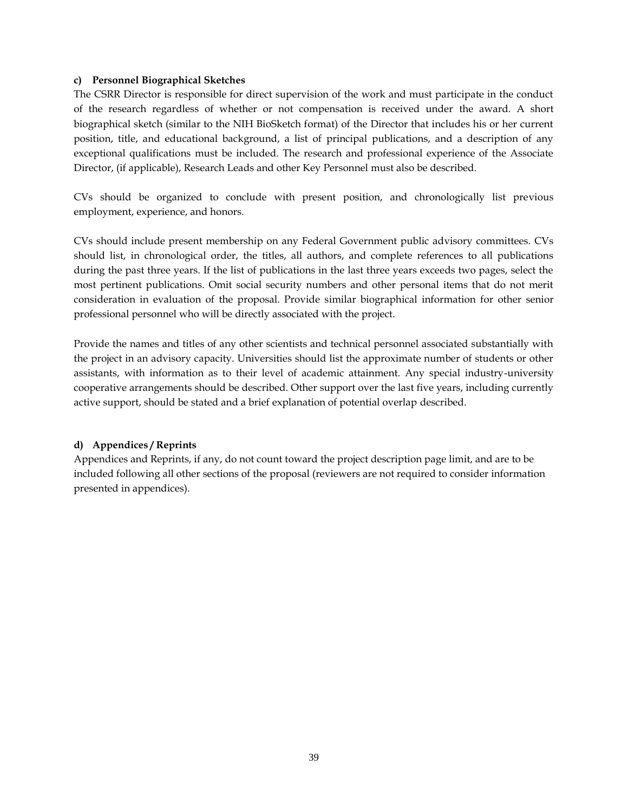### **c) Personnel Biographical Sketches**

The CSRR Director is responsible for direct supervision of the work and must participate in the conduct of the research regardless of whether or not compensation is received under the award. A short biographical sketch (similar to the NIH BioSketch format) of the Director that includes his or her current position, title, and educational background, a list of principal publications, and a description of any exceptional qualifications must be included. The research and professional experience of the Associate Director, (if applicable), Research Leads and other Key Personnel must also be described.

CVs should be organized to conclude with present position, and chronologically list previous employment, experience, and honors.

CVs should include present membership on any Federal Government public advisory committees. CVs should list, in chronological order, the titles, all authors, and complete references to all publications during the past three years. If the list of publications in the last three years exceeds two pages, select the most pertinent publications. Omit social security numbers and other personal items that do not merit consideration in evaluation of the proposal. Provide similar biographical information for other senior professional personnel who will be directly associated with the project.

Provide the names and titles of any other scientists and technical personnel associated substantially with the project in an advisory capacity. Universities should list the approximate number of students or other assistants, with information as to their level of academic attainment. Any special industry-university cooperative arrangements should be described. Other support over the last five years, including currently active support, should be stated and a brief explanation of potential overlap described.

### **d) Appendices / Reprints**

Appendices and Reprints, if any, do not count toward the project description page limit, and are to be included following all other sections of the proposal (reviewers are not required to consider information presented in appendices).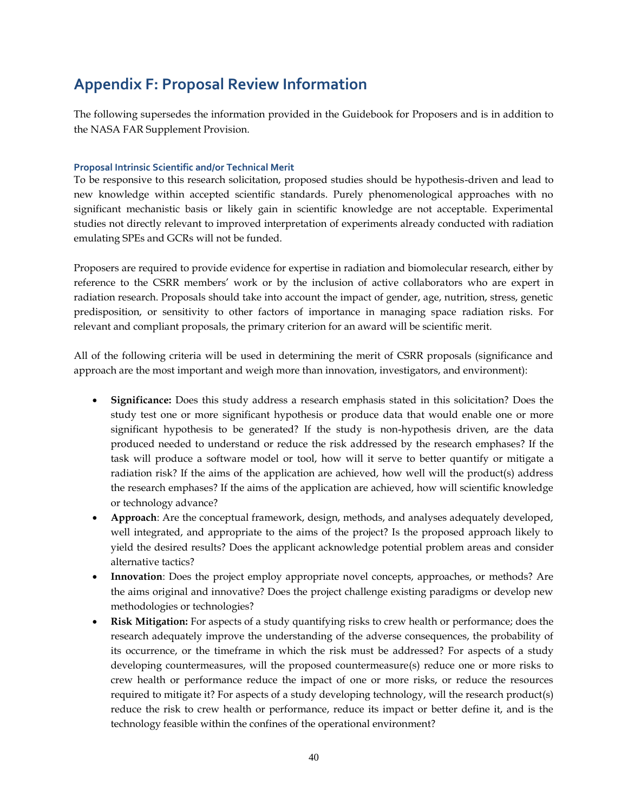### **Appendix F: Proposal Review Information**

The following supersedes the information provided in the Guidebook for Proposers and is in addition to the NASA FAR Supplement Provision.

### **Proposal Intrinsic Scientific and/or Technical Merit**

To be responsive to this research solicitation, proposed studies should be hypothesis-driven and lead to new knowledge within accepted scientific standards. Purely phenomenological approaches with no significant mechanistic basis or likely gain in scientific knowledge are not acceptable. Experimental studies not directly relevant to improved interpretation of experiments already conducted with radiation emulating SPEs and GCRs will not be funded.

Proposers are required to provide evidence for expertise in radiation and biomolecular research, either by reference to the CSRR members' work or by the inclusion of active collaborators who are expert in radiation research. Proposals should take into account the impact of gender, age, nutrition, stress, genetic predisposition, or sensitivity to other factors of importance in managing space radiation risks. For relevant and compliant proposals, the primary criterion for an award will be scientific merit.

All of the following criteria will be used in determining the merit of CSRR proposals (significance and approach are the most important and weigh more than innovation, investigators, and environment):

- **Significance:** Does this study address a research emphasis stated in this solicitation? Does the study test one or more significant hypothesis or produce data that would enable one or more significant hypothesis to be generated? If the study is non-hypothesis driven, are the data produced needed to understand or reduce the risk addressed by the research emphases? If the task will produce a software model or tool, how will it serve to better quantify or mitigate a radiation risk? If the aims of the application are achieved, how well will the product(s) address the research emphases? If the aims of the application are achieved, how will scientific knowledge or technology advance?
- **Approach**: Are the conceptual framework, design, methods, and analyses adequately developed, well integrated, and appropriate to the aims of the project? Is the proposed approach likely to yield the desired results? Does the applicant acknowledge potential problem areas and consider alternative tactics?
- **Innovation**: Does the project employ appropriate novel concepts, approaches, or methods? Are the aims original and innovative? Does the project challenge existing paradigms or develop new methodologies or technologies?
- **Risk Mitigation:** For aspects of a study quantifying risks to crew health or performance; does the research adequately improve the understanding of the adverse consequences, the probability of its occurrence, or the timeframe in which the risk must be addressed? For aspects of a study developing countermeasures, will the proposed countermeasure(s) reduce one or more risks to crew health or performance reduce the impact of one or more risks, or reduce the resources required to mitigate it? For aspects of a study developing technology, will the research product(s) reduce the risk to crew health or performance, reduce its impact or better define it, and is the technology feasible within the confines of the operational environment?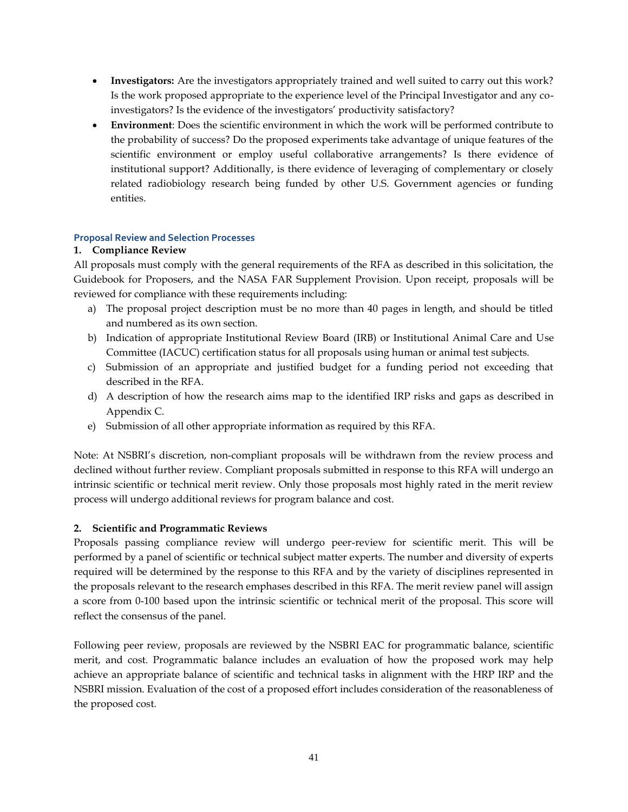- **Investigators:** Are the investigators appropriately trained and well suited to carry out this work? Is the work proposed appropriate to the experience level of the Principal Investigator and any coinvestigators? Is the evidence of the investigators' productivity satisfactory?
- **Environment**: Does the scientific environment in which the work will be performed contribute to the probability of success? Do the proposed experiments take advantage of unique features of the scientific environment or employ useful collaborative arrangements? Is there evidence of institutional support? Additionally, is there evidence of leveraging of complementary or closely related radiobiology research being funded by other U.S. Government agencies or funding entities.

### **Proposal Review and Selection Processes**

### **1. Compliance Review**

All proposals must comply with the general requirements of the RFA as described in this solicitation, the Guidebook for Proposers, and the NASA FAR Supplement Provision. Upon receipt, proposals will be reviewed for compliance with these requirements including:

- a) The proposal project description must be no more than 40 pages in length, and should be titled and numbered as its own section.
- b) Indication of appropriate Institutional Review Board (IRB) or Institutional Animal Care and Use Committee (IACUC) certification status for all proposals using human or animal test subjects.
- c) Submission of an appropriate and justified budget for a funding period not exceeding that described in the RFA.
- d) A description of how the research aims map to the identified IRP risks and gaps as described in Appendix C.
- e) Submission of all other appropriate information as required by this RFA.

Note: At NSBRI's discretion, non-compliant proposals will be withdrawn from the review process and declined without further review. Compliant proposals submitted in response to this RFA will undergo an intrinsic scientific or technical merit review. Only those proposals most highly rated in the merit review process will undergo additional reviews for program balance and cost.

### **2. Scientific and Programmatic Reviews**

Proposals passing compliance review will undergo peer-review for scientific merit. This will be performed by a panel of scientific or technical subject matter experts. The number and diversity of experts required will be determined by the response to this RFA and by the variety of disciplines represented in the proposals relevant to the research emphases described in this RFA. The merit review panel will assign a score from 0-100 based upon the intrinsic scientific or technical merit of the proposal. This score will reflect the consensus of the panel.

Following peer review, proposals are reviewed by the NSBRI EAC for programmatic balance, scientific merit, and cost. Programmatic balance includes an evaluation of how the proposed work may help achieve an appropriate balance of scientific and technical tasks in alignment with the HRP IRP and the NSBRI mission. Evaluation of the cost of a proposed effort includes consideration of the reasonableness of the proposed cost.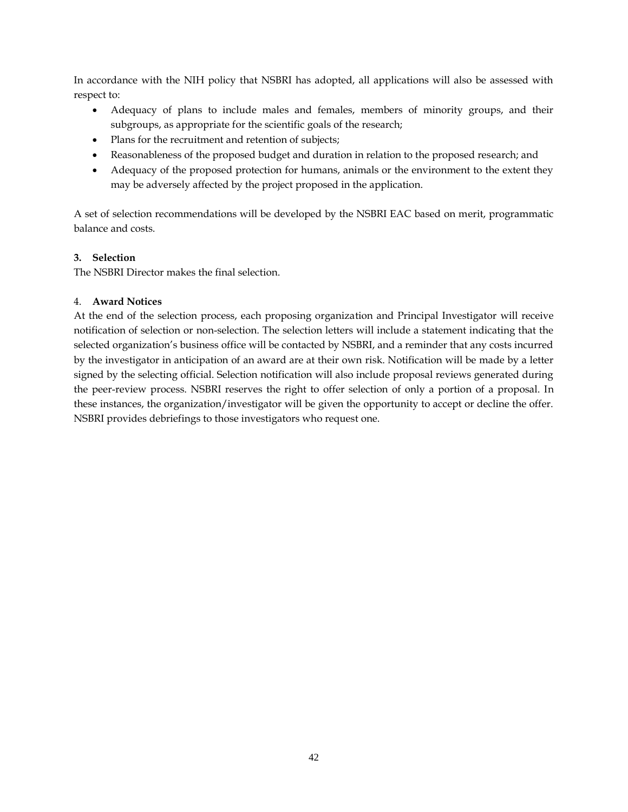In accordance with the NIH policy that NSBRI has adopted, all applications will also be assessed with respect to:

- Adequacy of plans to include males and females, members of minority groups, and their subgroups, as appropriate for the scientific goals of the research;
- Plans for the recruitment and retention of subjects;
- Reasonableness of the proposed budget and duration in relation to the proposed research; and
- Adequacy of the proposed protection for humans, animals or the environment to the extent they may be adversely affected by the project proposed in the application.

A set of selection recommendations will be developed by the NSBRI EAC based on merit, programmatic balance and costs.

### **3. Selection**

The NSBRI Director makes the final selection.

### 4. **Award Notices**

At the end of the selection process, each proposing organization and Principal Investigator will receive notification of selection or non-selection. The selection letters will include a statement indicating that the selected organization's business office will be contacted by NSBRI, and a reminder that any costs incurred by the investigator in anticipation of an award are at their own risk. Notification will be made by a letter signed by the selecting official. Selection notification will also include proposal reviews generated during the peer-review process. NSBRI reserves the right to offer selection of only a portion of a proposal. In these instances, the organization/investigator will be given the opportunity to accept or decline the offer. NSBRI provides debriefings to those investigators who request one.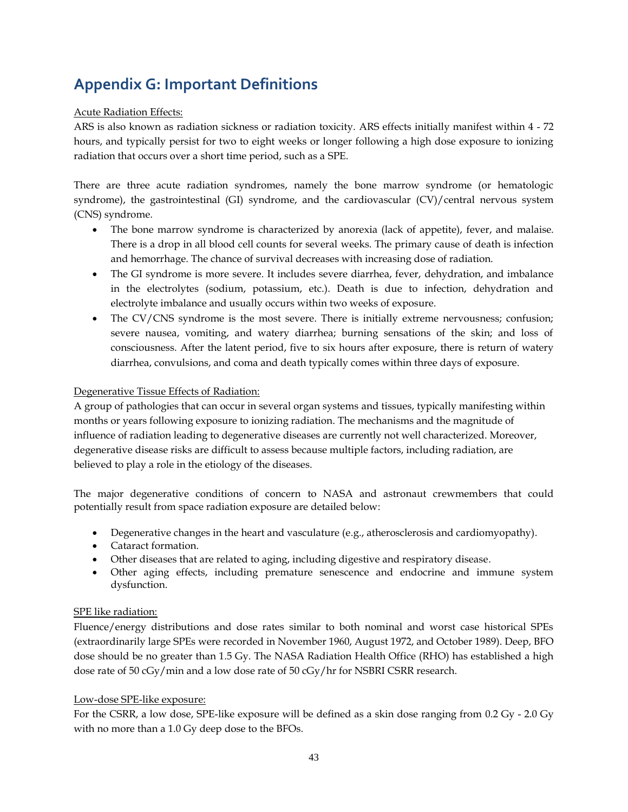## **Appendix G: Important Definitions**

### Acute Radiation Effects:

ARS is also known as radiation sickness or radiation toxicity. ARS effects initially manifest within 4 - 72 hours, and typically persist for two to eight weeks or longer following a high dose exposure to ionizing radiation that occurs over a short time period, such as a SPE.

There are three acute radiation syndromes, namely the bone marrow syndrome (or hematologic syndrome), the gastrointestinal (GI) syndrome, and the cardiovascular (CV)/central nervous system (CNS) syndrome.

- The bone marrow syndrome is characterized by [anorexia](http://www.medterms.com/script/main/art.asp?articlekey=276) (lack of appetite), [fever,](http://www.medterms.com/script/main/art.asp?articlekey=361) and malaise. There is a drop in all blood cell counts for several weeks. The primary cause of death is infection and hemorrhage. The chance of survival decreases with increasing dose of radiation.
- The GI syndrome is more severe. It includes severe diarrhea, fever, [dehydration,](http://www.medterms.com/script/main/art.asp?articlekey=339) and imbalance in the [electrolytes](http://www.medterms.com/script/main/art.asp?articlekey=16387) (sodium, potassium, etc.). Death is due to infection, dehydration and electrolyte imbalance and usually occurs within two weeks of exposure.
- The CV/CNS syndrome is the most severe. There is initially extreme nervousness; confusion; severe nausea, vomiting, and watery diarrhea; burning sensations of the skin; and loss of consciousness. After the latent period, five to six hours after exposure, there is return of watery diarrhea, convulsions, and [coma](http://www.medterms.com/script/main/art.asp?articlekey=85386) and death typically comes within three days of exposure.

### Degenerative Tissue Effects of Radiation:

A group of pathologies that can occur in several organ systems and tissues, typically manifesting within months or years following exposure to ionizing radiation. The mechanisms and the magnitude of influence of radiation leading to degenerative diseases are currently not well characterized. Moreover, degenerative disease risks are difficult to assess because multiple factors, including radiation, are believed to play a role in the etiology of the diseases.

The major degenerative conditions of concern to NASA and astronaut crewmembers that could potentially result from space radiation exposure are detailed below:

- Degenerative changes in the heart and vasculature (e.g., atherosclerosis and cardiomyopathy).
- Cataract formation.
- Other diseases that are related to aging, including digestive and respiratory disease.
- Other aging effects, including premature senescence and endocrine and immune system dysfunction.

### SPE like radiation:

Fluence/energy distributions and dose rates similar to both nominal and worst case historical SPEs (extraordinarily large SPEs were recorded in November 1960, August 1972, and October 1989). Deep, BFO dose should be no greater than 1.5 Gy. The NASA Radiation Health Office (RHO) has established a high dose rate of 50 cGy/min and a low dose rate of 50 cGy/hr for NSBRI CSRR research.

### Low-dose SPE-like exposure:

For the CSRR, a low dose, SPE-like exposure will be defined as a skin dose ranging from 0.2 Gy - 2.0 Gy with no more than a 1.0 Gy deep dose to the BFOs.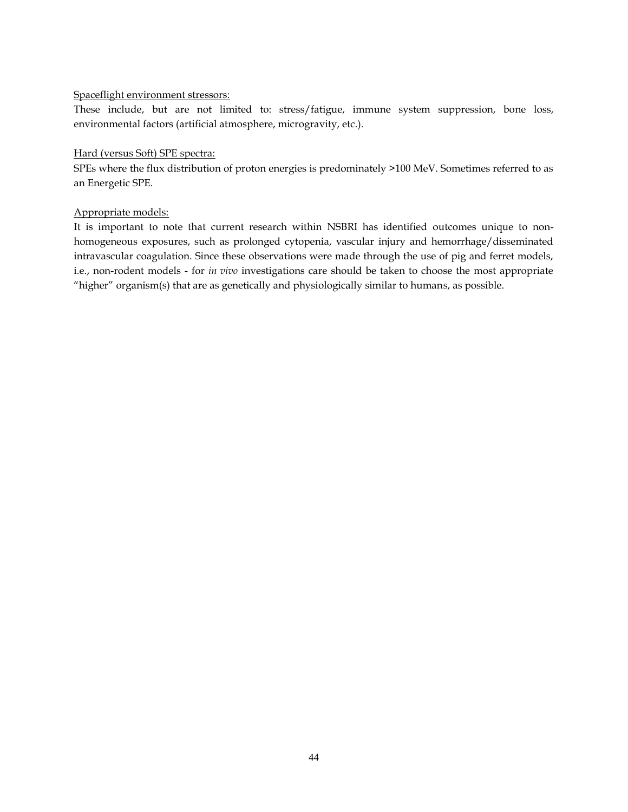### Spaceflight environment stressors:

These include, but are not limited to: stress/fatigue, immune system suppression, bone loss, environmental factors (artificial atmosphere, microgravity, etc.).

### Hard (versus Soft) SPE spectra:

SPEs where the flux distribution of proton energies is predominately >100 MeV. Sometimes referred to as an Energetic SPE.

### Appropriate models:

It is important to note that current research within NSBRI has identified outcomes unique to nonhomogeneous exposures, such as prolonged cytopenia, vascular injury and hemorrhage/disseminated intravascular coagulation. Since these observations were made through the use of pig and ferret models, i.e., non-rodent models - for *in vivo* investigations care should be taken to choose the most appropriate "higher" organism(s) that are as genetically and physiologically similar to humans, as possible.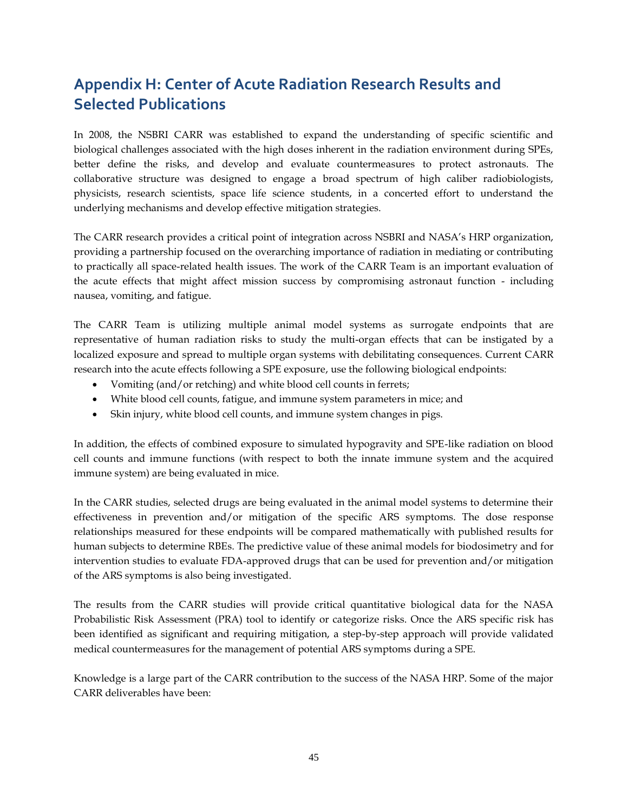## **Appendix H: Center of Acute Radiation Research Results and Selected Publications**

In 2008, the NSBRI CARR was established to expand the understanding of specific scientific and biological challenges associated with the high doses inherent in the radiation environment during SPEs, better define the risks, and develop and evaluate countermeasures to protect astronauts. The collaborative structure was designed to engage a broad spectrum of high caliber radiobiologists, physicists, research scientists, space life science students, in a concerted effort to understand the underlying mechanisms and develop effective mitigation strategies.

The CARR research provides a critical point of integration across NSBRI and NASA's HRP organization, providing a partnership focused on the overarching importance of radiation in mediating or contributing to practically all space-related health issues. The work of the CARR Team is an important evaluation of the acute effects that might affect mission success by compromising astronaut function - including nausea, vomiting, and fatigue.

The CARR Team is utilizing multiple animal model systems as surrogate endpoints that are representative of human radiation risks to study the multi-organ effects that can be instigated by a localized exposure and spread to multiple organ systems with debilitating consequences. Current CARR research into the acute effects following a SPE exposure, use the following biological endpoints:

- Vomiting (and/or retching) and white blood cell counts in ferrets;
- White blood cell counts, fatigue, and immune system parameters in mice; and
- Skin injury, white blood cell counts, and immune system changes in pigs.

In addition, the effects of combined exposure to simulated hypogravity and SPE-like radiation on blood cell counts and immune functions (with respect to both the innate immune system and the acquired immune system) are being evaluated in mice.

In the CARR studies, selected drugs are being evaluated in the animal model systems to determine their effectiveness in prevention and/or mitigation of the specific ARS symptoms. The dose response relationships measured for these endpoints will be compared mathematically with published results for human subjects to determine RBEs. The predictive value of these animal models for biodosimetry and for intervention studies to evaluate FDA-approved drugs that can be used for prevention and/or mitigation of the ARS symptoms is also being investigated.

The results from the CARR studies will provide critical quantitative biological data for the NASA Probabilistic Risk Assessment (PRA) tool to identify or categorize risks. Once the ARS specific risk has been identified as significant and requiring mitigation, a step-by-step approach will provide validated medical countermeasures for the management of potential ARS symptoms during a SPE.

Knowledge is a large part of the CARR contribution to the success of the NASA HRP. Some of the major CARR deliverables have been: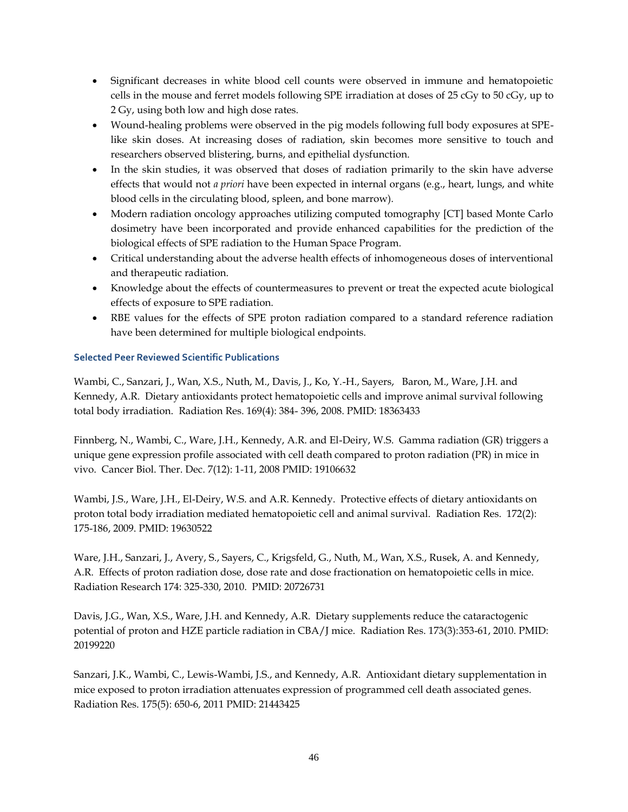- Significant decreases in white blood cell counts were observed in immune and hematopoietic cells in the mouse and ferret models following SPE irradiation at doses of 25 cGy to 50 cGy, up to 2 Gy, using both low and high dose rates.
- Wound-healing problems were observed in the pig models following full body exposures at SPElike skin doses. At increasing doses of radiation, skin becomes more sensitive to touch and researchers observed blistering, burns, and epithelial dysfunction.
- In the skin studies, it was observed that doses of radiation primarily to the skin have adverse effects that would not *a priori* have been expected in internal organs (e.g., heart, lungs, and white blood cells in the circulating blood, spleen, and bone marrow).
- Modern radiation oncology approaches utilizing computed tomography [CT] based Monte Carlo dosimetry have been incorporated and provide enhanced capabilities for the prediction of the biological effects of SPE radiation to the Human Space Program.
- Critical understanding about the adverse health effects of inhomogeneous doses of interventional and therapeutic radiation.
- Knowledge about the effects of countermeasures to prevent or treat the expected acute biological effects of exposure to SPE radiation.
- RBE values for the effects of SPE proton radiation compared to a standard reference radiation have been determined for multiple biological endpoints.

### **Selected Peer Reviewed Scientific Publications**

Wambi, C., Sanzari, J., Wan, X.S., Nuth, M., Davis, J., Ko, Y.-H., Sayers, Baron, M., Ware, J.H. and Kennedy, A.R. Dietary antioxidants protect hematopoietic cells and improve animal survival following total body irradiation. Radiation Res. 169(4): 384- 396, 2008. PMID: 18363433

Finnberg, N., Wambi, C., Ware, J.H., Kennedy, A.R. and El-Deiry, W.S. Gamma radiation (GR) triggers a unique gene expression profile associated with cell death compared to proton radiation (PR) in mice in vivo. Cancer Biol. Ther. Dec. 7(12): 1-11, 2008 PMID: 19106632

Wambi, J.S., Ware, J.H., El-Deiry, W.S. and A.R. Kennedy. Protective effects of dietary antioxidants on proton total body irradiation mediated hematopoietic cell and animal survival. Radiation Res. 172(2): 175-186, 2009. PMID: 19630522

Ware, J.H., Sanzari, J., Avery, S., Sayers, C., Krigsfeld, G., Nuth, M., Wan, X.S., Rusek, A. and Kennedy, A.R. Effects of proton radiation dose, dose rate and dose fractionation on hematopoietic cells in mice. Radiation Research 174: 325-330, 2010. PMID: 20726731

Davis, J.G., Wan, X.S., Ware, J.H. and Kennedy, A.R. Dietary supplements reduce the cataractogenic potential of proton and HZE particle radiation in CBA/J mice. Radiation Res. 173(3):353-61, 2010. PMID: 20199220

Sanzari, J.K., Wambi, C., Lewis-Wambi, J.S., and Kennedy, A.R. Antioxidant dietary supplementation in mice exposed to proton irradiation attenuates expression of programmed cell death associated genes. Radiation Res. 175(5): 650-6, 2011 PMID: 21443425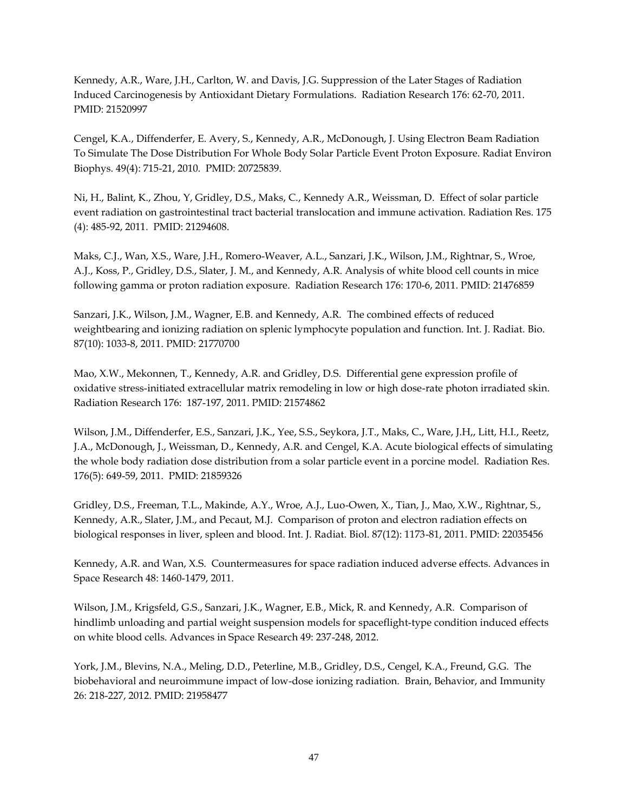Kennedy, A.R., Ware, J.H., Carlton, W. and Davis, J.G. Suppression of the Later Stages of Radiation Induced Carcinogenesis by Antioxidant Dietary Formulations. Radiation Research 176: 62-70, 2011. PMID: 21520997

Cengel, K.A., Diffenderfer, E. Avery, S., Kennedy, A.R., McDonough, J. Using Electron Beam Radiation To Simulate The Dose Distribution For Whole Body Solar Particle Event Proton Exposure. Radiat Environ Biophys. 49(4): 715-21, 2010. PMID: 20725839.

Ni, H., Balint, K., Zhou, Y, Gridley, D.S., Maks, C., Kennedy A.R., Weissman, D. Effect of solar particle event radiation on gastrointestinal tract bacterial translocation and immune activation. Radiation Res. 175 (4): 485-92, 2011. PMID: 21294608.

Maks, C.J., Wan, X.S., Ware, J.H., Romero-Weaver, A.L., Sanzari, J.K., Wilson, J.M., Rightnar, S., Wroe, A.J., Koss, P., Gridley, D.S., Slater, J. M., and Kennedy, A.R. Analysis of white blood cell counts in mice following gamma or proton radiation exposure. Radiation Research 176: 170-6, 2011. PMID: 21476859

Sanzari, J.K., Wilson, J.M., Wagner, E.B. and Kennedy, A.R. The combined effects of reduced weightbearing and ionizing radiation on splenic lymphocyte population and function. Int. J. Radiat. Bio. 87(10): 1033-8, 2011. PMID: 21770700

Mao, X.W., Mekonnen, T., Kennedy, A.R. and Gridley, D.S. Differential gene expression profile of oxidative stress-initiated extracellular matrix remodeling in low or high dose-rate photon irradiated skin. Radiation Research 176: 187-197, 2011. PMID: 21574862

Wilson, J.M., Diffenderfer, E.S., Sanzari, J.K., Yee, S.S., Seykora, J.T., Maks, C., Ware, J.H,, Litt, H.I., Reetz, J.A., McDonough, J., Weissman, D., Kennedy, A.R. and Cengel, K.A. Acute biological effects of simulating the whole body radiation dose distribution from a solar particle event in a porcine model. Radiation Res. 176(5): 649-59, 2011. PMID: 21859326

Gridley, D.S., Freeman, T.L., Makinde, A.Y., Wroe, A.J., Luo-Owen, X., Tian, J., Mao, X.W., Rightnar, S., Kennedy, A.R., Slater, J.M., and Pecaut, M.J. Comparison of proton and electron radiation effects on biological responses in liver, spleen and blood. Int. J. Radiat. Biol. 87(12): 1173-81, 2011. PMID: 22035456

Kennedy, A.R. and Wan, X.S. Countermeasures for space radiation induced adverse effects. Advances in Space Research 48: 1460-1479, 2011.

Wilson, J.M., Krigsfeld, G.S., Sanzari, J.K., Wagner, E.B., Mick, R. and Kennedy, A.R. Comparison of hindlimb unloading and partial weight suspension models for spaceflight-type condition induced effects on white blood cells. Advances in Space Research 49: 237-248, 2012.

York, J.M., Blevins, N.A., Meling, D.D., Peterline, M.B., Gridley, D.S., Cengel, K.A., Freund, G.G. The biobehavioral and neuroimmune impact of low-dose ionizing radiation. Brain, Behavior, and Immunity 26: 218-227, 2012. PMID: 21958477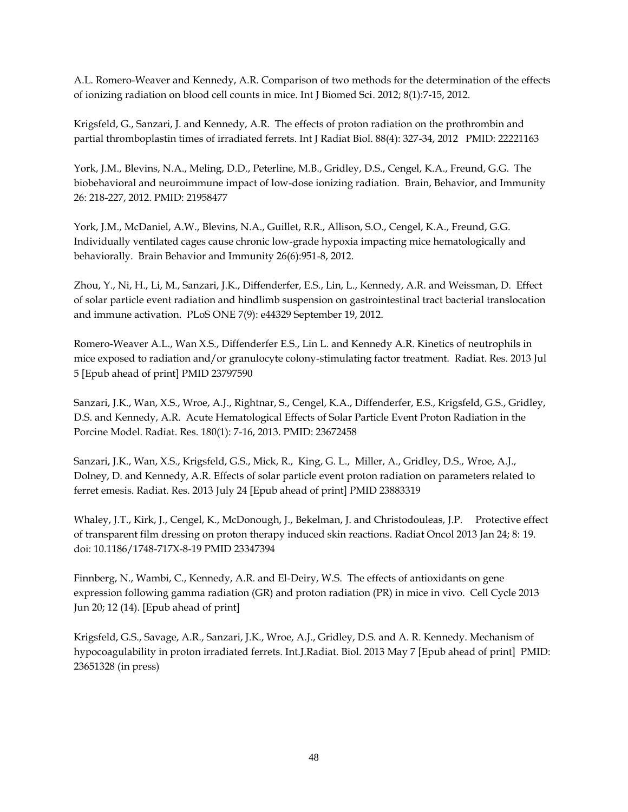A.L. Romero-Weaver and Kennedy, A.R. Comparison of two methods for the determination of the effects of ionizing radiation on blood cell counts in mice. Int J Biomed Sci. 2012; 8(1):7-15, 2012.

Krigsfeld, G., Sanzari, J. and Kennedy, A.R. The effects of proton radiation on the prothrombin and partial thromboplastin times of irradiated ferrets. Int J Radiat Biol. 88(4): 327-34, 2012 PMID: 22221163

York, J.M., Blevins, N.A., Meling, D.D., Peterline, M.B., Gridley, D.S., Cengel, K.A., Freund, G.G. The biobehavioral and neuroimmune impact of low-dose ionizing radiation. Brain, Behavior, and Immunity 26: 218-227, 2012. PMID: 21958477

York, J.M., McDaniel, A.W., Blevins, N.A., Guillet, R.R., Allison, S.O., Cengel, K.A., Freund, G.G. Individually ventilated cages cause chronic low-grade hypoxia impacting mice hematologically and behaviorally. Brain Behavior and Immunity 26(6):951-8, 2012.

Zhou, Y., Ni, H., Li, M., Sanzari, J.K., Diffenderfer, E.S., Lin, L., Kennedy, A.R. and Weissman, D. Effect of solar particle event radiation and hindlimb suspension on gastrointestinal tract bacterial translocation and immune activation. PLoS ONE 7(9): e44329 September 19, 2012.

Romero-Weaver A.L., Wan X.S., Diffenderfer E.S., Lin L. and Kennedy A.R. Kinetics of neutrophils in mice exposed to radiation and/or granulocyte colony-stimulating factor treatment. Radiat. Res. 2013 Jul 5 [Epub ahead of print] PMID 23797590

Sanzari, J.K., Wan, X.S., Wroe, A.J., Rightnar, S., Cengel, K.A., Diffenderfer, E.S., Krigsfeld, G.S., Gridley, D.S. and Kennedy, A.R. Acute Hematological Effects of Solar Particle Event Proton Radiation in the Porcine Model. Radiat. Res. 180(1): 7-16, 2013. PMID: 23672458

Sanzari, J.K., Wan, X.S., Krigsfeld, G.S., Mick, R., King, G. L., Miller, A., Gridley, D.S., Wroe, A.J., Dolney, D. and Kennedy, A.R. Effects of solar particle event proton radiation on parameters related to ferret emesis. Radiat. Res. 2013 July 24 [Epub ahead of print] PMID 23883319

Whaley, J.T., Kirk, J., Cengel, K., McDonough, J., Bekelman, J. and Christodouleas, J.P. Protective effect of transparent film dressing on proton therapy induced skin reactions. Radiat Oncol 2013 Jan 24; 8: 19. doi: 10.1186/1748-717X-8-19 PMID 23347394

Finnberg, N., Wambi, C., Kennedy, A.R. and El-Deiry, W.S. The effects of antioxidants on gene expression following gamma radiation (GR) and proton radiation (PR) in mice in vivo. Cell Cycle 2013 Jun 20; 12 (14). [Epub ahead of print]

Krigsfeld, G.S., Savage, A.R., Sanzari, J.K., Wroe, A.J., Gridley, D.S. and A. R. Kennedy. Mechanism of hypocoagulability in proton irradiated ferrets. Int.J.Radiat. Biol. 2013 May 7 [Epub ahead of print] PMID: 23651328 (in press)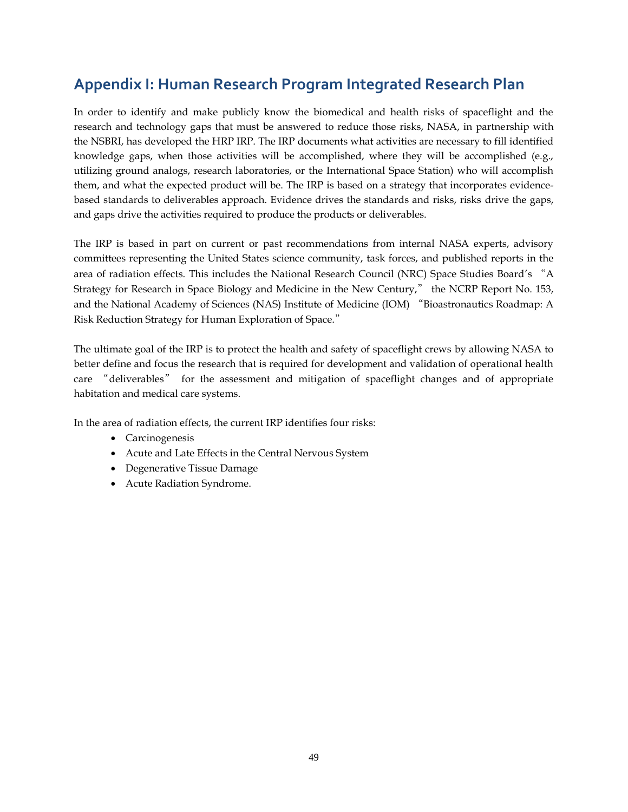### **Appendix I: Human Research Program Integrated Research Plan**

In order to identify and make publicly know the biomedical and health risks of spaceflight and the research and technology gaps that must be answered to reduce those risks, NASA, in partnership with the NSBRI, has developed the HRP IRP. The IRP documents what activities are necessary to fill identified knowledge gaps, when those activities will be accomplished, where they will be accomplished (e.g., utilizing ground analogs, research laboratories, or the International Space Station) who will accomplish them, and what the expected product will be. The IRP is based on a strategy that incorporates evidencebased standards to deliverables approach. Evidence drives the standards and risks, risks drive the gaps, and gaps drive the activities required to produce the products or deliverables.

The IRP is based in part on current or past recommendations from internal NASA experts, advisory committees representing the United States science community, task forces, and published reports in the area of radiation effects. This includes the National Research Council (NRC) Space Studies Board's "A Strategy for Research in Space Biology and Medicine in the New Century," the NCRP Report No. 153, and the National Academy of Sciences (NAS) Institute of Medicine (IOM) "Bioastronautics Roadmap: A Risk Reduction Strategy for Human Exploration of Space."

The ultimate goal of the IRP is to protect the health and safety of spaceflight crews by allowing NASA to better define and focus the research that is required for development and validation of operational health care "deliverables" for the assessment and mitigation of spaceflight changes and of appropriate habitation and medical care systems.

In the area of radiation effects, the current IRP identifies four risks:

- Carcinogenesis
- Acute and Late Effects in the Central Nervous System
- Degenerative Tissue Damage
- Acute Radiation Syndrome.